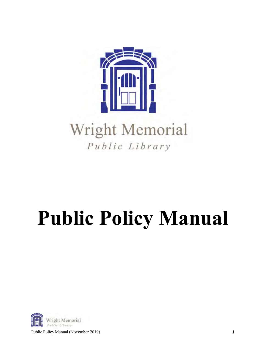

## **Public Policy Manual**

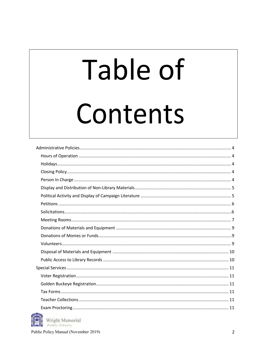# Table of Contents



Wright Memorial Public Library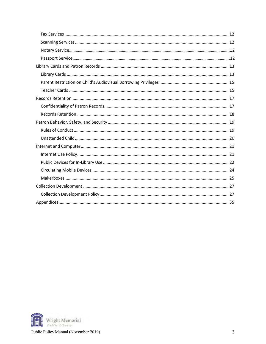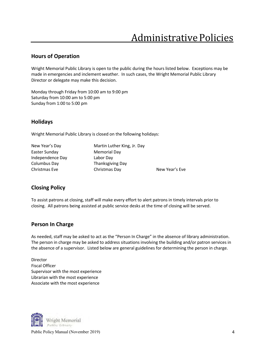## Administrative Policies

#### **Hours of Operation**

Wright Memorial Public Library is open to the public during the hours listed below. Exceptions may be made in emergencies and inclement weather. In such cases, the Wright Memorial Public Library Director or delegate may make this decision.

Monday through Friday from 10:00 am to 9:00 pm Saturday from 10:00 am to 5:00 pm Sunday from 1:00 to 5:00 pm

#### **Holidays**

Wright Memorial Public Library is closed on the following holidays:

Easter Sunday Memorial Day Independence Day Labor Day

New Year's Day **Martin Luther King, Jr. Day** Columbus Day Thanksgiving Day Christmas Eve **Christmas Day Christmas Day New Year's Eve** 

#### **Closing Policy**

To assist patrons at closing, staff will make every effort to alert patrons in timely intervals prior to closing. All patrons being assisted at public service desks at the time of closing will be served.

#### **Person In Charge**

As needed, staff may be asked to act as the "Person In Charge" in the absence of library administration. The person in charge may be asked to address situations involving the building and/or patron services in the absence of a supervisor. Listed below are general guidelines for determining the person in charge.

Director Fiscal Officer Supervisor with the most experience Librarian with the most experience Associate with the most experience

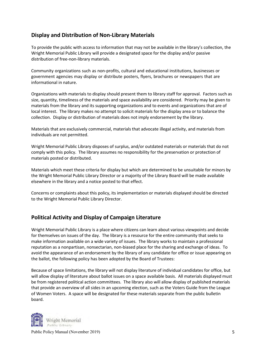#### **Display and Distribution of Non‐Library Materials**

To provide the public with access to information that may not be available in the library's collection, the Wright Memorial Public Library will provide a designated space for the display and/or passive distribution of free‐non‐library materials.

Community organizations such as non‐profits, cultural and educational institutions, businesses or government agencies may display or distribute posters, flyers, brochures or newspapers that are informational in nature.

Organizations with materials to display should present them to library staff for approval. Factors such as size, quantity, timeliness of the materials and space availability are considered. Priority may be given to materials from the library and its supporting organizations and to events and organizations that are of local interest. The library makes no attempt to solicit materials for the display area or to balance the collection. Display or distribution of materials does not imply endorsement by the library.

Materials that are exclusively commercial, materials that advocate illegal activity, and materials from individuals are not permitted.

Wright Memorial Public Library disposes of surplus, and/or outdated materials or materials that do not comply with this policy. The library assumes no responsibility for the preservation or protection of materials posted or distributed.

Materials which meet these criteria for display but which are determined to be unsuitable for minors by the Wright Memorial Public Library Director or a majority of the Library Board will be made available elsewhere in the library and a notice posted to that effect.

Concerns or complaints about this policy, its implementation or materials displayed should be directed to the Wright Memorial Public Library Director.

#### **Political Activity and Display of Campaign Literature**

Wright Memorial Public Library is a place where citizens can learn about various viewpoints and decide for themselves on issues of the day. The library is a resource for the entire community that seeks to make information available on a wide variety of issues. The library works to maintain a professional reputation as a nonpartisan, nonsectarian, non‐biased place for the sharing and exchange of ideas. To avoid the appearance of an endorsement by the library of any candidate for office or issue appearing on the ballot, the following policy has been adopted by the Board of Trustees:

Because of space limitations, the library will not display literature of individual candidates for office, but will allow display of literature about ballot issues on a space available basis. All materials displayed must be from registered political action committees. The library also will allow display of published materials that provide an overview of all sides in an upcoming election, such as the Voters Guide from the League of Women Voters. A space will be designated for these materials separate from the public bulletin board.

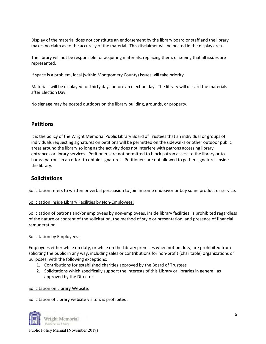Display of the material does not constitute an endorsement by the library board or staff and the library makes no claim as to the accuracy of the material. This disclaimer will be posted in the display area.

The library will not be responsible for acquiring materials, replacing them, or seeing that all issues are represented.

If space is a problem, local (within Montgomery County) issues will take priority.

Materials will be displayed for thirty days before an election day. The library will discard the materials after Election Day.

No signage may be posted outdoors on the library building, grounds, or property.

#### **Petitions**

It is the policy of the Wright Memorial Public Library Board of Trustees that an individual or groups of individuals requesting signatures on petitions will be permitted on the sidewalks or other outdoor public areas around the library so long as the activity does not interfere with patrons accessing library entrances or library services. Petitioners are not permitted to block patron access to the library or to harass patrons in an effort to obtain signatures. Petitioners are not allowed to gather signatures inside the library.

#### **Solicitations**

Solicitation refers to written or verbal persuasion to join in some endeavor or buy some product or service.

#### Solicitation inside Library Facilities by Non‐Employees:

Solicitation of patrons and/or employees by non‐employees, inside library facilities, is prohibited regardless of the nature or content of the solicitation, the method of style or presentation, and presence of financial remuneration.

#### Solicitation by Employees:

Employees either while on duty, or while on the Library premises when not on duty, are prohibited from soliciting the public in any way, including sales or contributions for non‐profit (charitable) organizations or purposes, with the following exceptions:

- 1. Contributions for established charities approved by the Board of Trustees
- 2. Solicitations which specifically support the interests of this Library or libraries in general, as approved by the Director.

#### Solicitation on Library Website:

Solicitation of Library website visitors is prohibited.

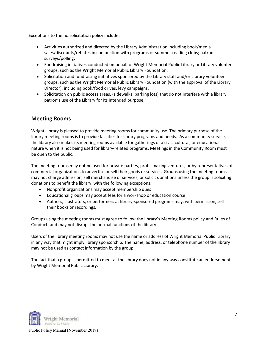Exceptions to the no solicitation policy include:

- Activities authorized and directed by the Library Administration including book/media sales/discounts/rebates in conjunction with programs or summer reading clubs; patron surveys/polling,
- Fundraising initiatives conducted on behalf of Wright Memorial Public Library or Library volunteer groups, such as the Wright Memorial Public Library Foundation.
- Solicitation and fundraising initiatives sponsored by the Library staff and/or Library volunteer groups, such as the Wright Memorial Public Library Foundation (with the approval of the Library Director), including book/food drives, levy campaigns.
- Solicitation on public access areas, (sidewalks, parking lots) that do not interfere with a library patron's use of the Library for its intended purpose.

#### **Meeting Rooms**

Wright Library is pleased to provide meeting rooms for community use. The primary purpose of the library meeting rooms is to provide facilities for library programs and needs. As a community service, the library also makes its meeting rooms available for gatherings of a civic, cultural, or educational nature when it is not being used for library-related programs. Meetings in the Community Room must be open to the public.

The meeting rooms may not be used for private parties, profit‐making ventures, or by representatives of commercial organizations to advertise or sell their goods or services. Groups using the meeting rooms may not charge admission, sell merchandise or services, or solicit donations unless the group is soliciting donations to benefit the library, with the following exceptions:

- Nonprofit organizations may accept membership dues
- Educational groups may accept fees for a workshop or education course
- Authors, illustrators, or performers at library‐sponsored programs may, with permission, sell their books or recordings.

Groups using the meeting rooms must agree to follow the library's Meeting Rooms policy and Rules of Conduct, and may not disrupt the normal functions of the library.

Users of the library meeting rooms may not use the name or address of Wright Memorial Public Library in any way that might imply library sponsorship. The name, address, or telephone number of the library may not be used as contact information by the group.

The fact that a group is permitted to meet at the library does not in any way constitute an endorsement by Wright Memorial Public Library.

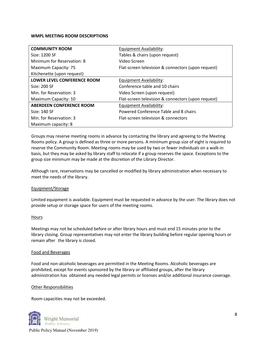#### **WMPL MEETING ROOM DESCRIPTIONS**

| <b>COMMUNITY ROOM</b>              | <b>Equipment Availability:</b>                     |
|------------------------------------|----------------------------------------------------|
| Size: 1200 SF                      | Tables & chairs (upon request)                     |
| Minimum for Reservation: 8         | Video Screen                                       |
| Maximum Capacity: 75               | Flat-screen television & connectors (upon request) |
| Kitchenette (upon request)         |                                                    |
| <b>LOWER LEVEL CONFERENCE ROOM</b> | <b>Equipment Availability:</b>                     |
| Size: 200 SF                       | Conference table and 10 chairs                     |
| Min. for Reservation: 3            | Video Screen (upon request)                        |
| Maximum Capacity: 10               | Flat-screen television & connectors (upon request) |
| <b>ABERDEEN CONFERENCE ROOM</b>    | Equipment Availability:                            |
| Size: 140 SF                       | Powered Conference Table and 8 chairs              |
| Min. for Reservation: 3            | Flat-screen television & connectors                |
| Maximum capacity: 8                |                                                    |

Groups may reserve meeting rooms in advance by contacting the library and agreeing to the Meeting Rooms policy. A group is defined as three or more persons. A minimum group size of eight is required to reserve the Community Room. Meeting rooms may be used by two or fewer individuals on a walk‐in basis, but they may be asked by library staff to relocate if a group reserves the space. Exceptions to the group size minimum may be made at the discretion of the Library Director.

Although rare, reservations may be cancelled or modified by library administration when necessary to meet the needs of the library.

#### Equipment/Storage

Limited equipment is available. Equipment must be requested in advance by the user. The library does not provide setup or storage space for users of the meeting rooms.

#### Hours

Meetings may not be scheduled before or after library hours and must end 15 minutes prior to the library closing. Group representatives may not enter the library building before regular opening hours or remain after the library is closed.

#### Food and Beverages

Food and non‐alcoholic beverages are permitted in the Meeting Rooms. Alcoholic beverages are prohibited, except for events sponsored by the library or affiliated groups, after the library administration has obtained any needed legal permits or licenses and/or additional insurance coverage.

#### Other Responsibilities

Room capacities may not be exceeded.

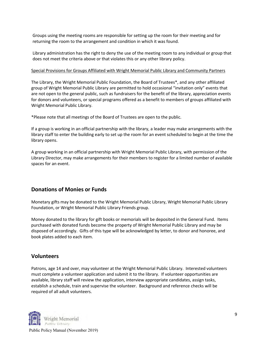Groups using the meeting rooms are responsible for setting up the room for their meeting and for returning the room to the arrangement and condition in which it was found.

Library administration has the right to deny the use of the meeting room to any individual or group that does not meet the criteria above or that violates this or any other library policy.

#### Special Provisions for Groups Affiliated with Wright Memorial Public Library and Community Partners

The Library, the Wright Memorial Public Foundation, the Board of Trustees\*, and any other affiliated group of Wright Memorial Public Library are permitted to hold occasional "invitation only" events that are not open to the general public, such as fundraisers for the benefit of the library, appreciation events for donors and volunteers, or special programs offered as a benefit to members of groups affiliated with Wright Memorial Public Library.

\*Please note that all meetings of the Board of Trustees are open to the public.

If a group is working in an official partnership with the library, a leader may make arrangements with the library staff to enter the building early to set up the room for an event scheduled to begin at the time the library opens.

A group working in an official partnership with Wright Memorial Public Library, with permission of the Library Director, may make arrangements for their members to register for a limited number of available spaces for an event.

#### **Donations of Monies or Funds**

Monetary gifts may be donated to the Wright Memorial Public Library, Wright Memorial Public Library Foundation, or Wright Memorial Public Library Friends group.

Money donated to the library for gift books or memorials will be deposited in the General Fund. Items purchased with donated funds become the property of Wright Memorial Public Library and may be disposed of accordingly. Gifts of this type will be acknowledged by letter, to donor and honoree, and book plates added to each item.

#### **Volunteers**

Patrons, age 14 and over, may volunteer at the Wright Memorial Public Library. Interested volunteers must complete a volunteer application and submit it to the library. If volunteer opportunities are available, library staff will review the application, interview appropriate candidates, assign tasks, establish a schedule, train and supervise the volunteer. Background and reference checks will be required of all adult volunteers.

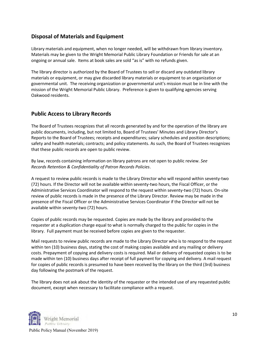#### **Disposal of Materials and Equipment**

Library materials and equipment, when no longer needed, will be withdrawn from library inventory. Materials may be given to the Wright Memorial Public Library Foundation or Friends for sale at an ongoing or annual sale. Items at book sales are sold "as is" with no refunds given.

The library director is authorized by the Board of Trustees to sell or discard any outdated library materials or equipment, or may give discarded library materials or equipment to an organization or governmental unit. The receiving organization or governmental unit's mission must be in line with the mission of the Wright Memorial Public Library. Preference is given to qualifying agencies serving Oakwood residents.

#### **Public Access to Library Records**

The Board of Trustees recognizes that all records generated by and for the operation of the library are public documents, including, but not limited to, Board of Trustees' Minutes and Library Director's Reports to the Board of Trustees; receipts and expenditures; salary schedules and position descriptions; safety and health materials; contracts; and policy statements. As such, the Board of Trustees recognizes that these public records are open to public review.

By law, records containing information on library patrons are not open to public review. *See Records Retention & Confidentiality of Patron Records Policies*.

A request to review public records is made to the Library Director who will respond within seventy‐two (72) hours. If the Director will not be available within seventy‐two hours, the Fiscal Officer, or the Administrative Services Coordinator will respond to the request within seventy‐two (72) hours. On‐site review of public records is made in the presence of the Library Director. Review may be made in the presence of the Fiscal Officer or the Administrative Services Coordinator if the Director will not be available within seventy‐two (72) hours.

Copies of public records may be requested. Copies are made by the library and provided to the requester at a duplication charge equal to what is normally charged to the public for copies in the library. Full payment must be received before copies are given to the requester.

Mail requests to review public records are made to the Library Director who is to respond to the request within ten (10) business days, stating the cost of making copies available and any mailing or delivery costs. Prepayment of copying and delivery costs is required. Mail or delivery of requested copies is to be made within ten (10) business days after receipt of full payment for copying and delivery. A mail request for copies of public records is presumed to have been received by the library on the third (3rd) business day following the postmark of the request.

The library does not ask about the identity of the requester or the intended use of any requested public document, except when necessary to facilitate compliance with a request.

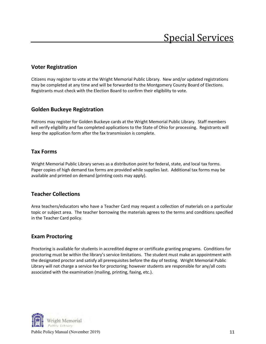#### **Voter Registration**

Citizens may register to vote at the Wright Memorial Public Library. New and/or updated registrations may be completed at any time and will be forwarded to the Montgomery County Board of Elections. Registrants must check with the Election Board to confirm their eligibility to vote.

#### **Golden Buckeye Registration**

Patrons may register for Golden Buckeye cards at the Wright Memorial Public Library. Staff members will verify eligibility and fax completed applications to the State of Ohio for processing. Registrants will keep the application form after the fax transmission is complete.

#### **Tax Forms**

Wright Memorial Public Library serves as a distribution point for federal, state, and local tax forms. Paper copies of high demand tax forms are provided while supplies last. Additional tax forms may be available and printed on demand (printing costs may apply).

#### **Teacher Collections**

Area teachers/educators who have a Teacher Card may request a collection of materials on a particular topic or subject area. The teacher borrowing the materials agrees to the terms and conditions specified in the Teacher Card policy.

#### **Exam Proctoring**

Proctoring is available for students in accredited degree or certificate granting programs. Conditions for proctoring must be within the library's service limitations. The student must make an appointment with the designated proctor and satisfy all prerequisites before the day of testing. Wright Memorial Public Library will not charge a service fee for proctoring; however students are responsible for any/all costs associated with the examination (mailing, printing, faxing, etc.).

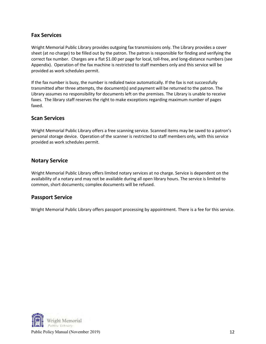#### **Fax Services**

Wright Memorial Public Library provides outgoing fax transmissions only. The Library provides a cover sheet (at no charge) to be filled out by the patron. The patron is responsible for finding and verifying the correct fax number. Charges are a flat \$1.00 per page for local, toll‐free, and long‐distance numbers (see Appendix). Operation of the fax machine is restricted to staff members only and this service will be provided as work schedules permit.

If the fax number is busy, the number is redialed twice automatically. If the fax is not successfully transmitted after three attempts, the document(s) and payment will be returned to the patron. The Library assumes no responsibility for documents left on the premises. The Library is unable to receive faxes. The library staff reserves the right to make exceptions regarding maximum number of pages faxed.

#### **Scan Services**

Wright Memorial Public Library offers a free scanning service. Scanned items may be saved to a patron's personal storage device. Operation of the scanner is restricted to staff members only, with this service provided as work schedules permit.

#### **Notary Service**

Wright Memorial Public Library offers limited notary services at no charge. Service is dependent on the availability of a notary and may not be available during all open library hours. The service is limited to common, short documents; complex documents will be refused.

#### **Passport Service**

Wright Memorial Public Library offers passport processing by appointment. There is a fee for this service.

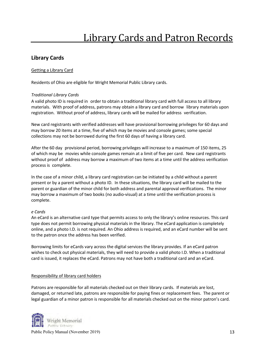## Library Cards and Patron Records

#### **Library Cards**

#### Getting a Library Card

Residents of Ohio are eligible for Wright Memorial Public Library cards.

#### *Traditional Library Cards*

A valid photo ID is required in order to obtain a traditional library card with full access to all library materials. With proof of address, patrons may obtain a library card and borrow library materials upon registration. Without proof of address, library cards will be mailed for address verification.

New card registrants with verified addresses will have provisional borrowing privileges for 60 days and may borrow 20 items at a time, five of which may be movies and console games; some special collections may not be borrowed during the first 60 days of having a library card.

After the 60 day provisional period, borrowing privileges will increase to a maximum of 150 items, 25 of which may be movies while console games remain at a limit of five per card. New card registrants without proof of address may borrow a maximum of two items at a time until the address verification process is complete.

In the case of a minor child, a library card registration can be initiated by a child without a parent present or by a parent without a photo ID. In these situations, the library card will be mailed to the parent or guardian of the minor child for both address and parental approval verifications. The minor may borrow a maximum of two books (no audio‐visual) at a time until the verification process is complete.

#### *e Cards*

An eCard is an alternative card type that permits access to only the library's online resources. This card type does not permit borrowing physical materials in the library. The eCard application is completely online, and a photo I.D. is not required. An Ohio address is required, and an eCard number will be sent to the patron once the address has been verified.

Borrowing limits for eCards vary across the digital services the library provides. If an eCard patron wishes to check out physical materials, they will need to provide a valid photo I.D. When a traditional card is issued, it replaces the eCard. Patrons may not have both a traditional card and an eCard.

#### Responsibility of library card holders

Patrons are responsible for all materials checked out on their library cards. If materials are lost, damaged, or returned late, patrons are responsible for paying fines or replacement fees. The parent or legal guardian of a minor patron is responsible for all materials checked out on the minor patron's card.

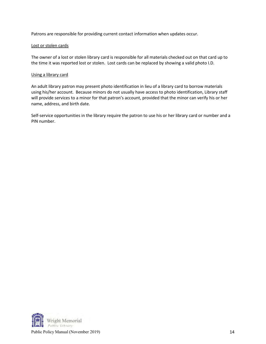Patrons are responsible for providing current contact information when updates occur.

#### Lost or stolen cards

The owner of a lost or stolen library card is responsible for all materials checked out on that card up to the time it was reported lost or stolen. Lost cards can be replaced by showing a valid photo I.D.

#### Using a library card

An adult library patron may present photo identification in lieu of a library card to borrow materials using his/her account. Because minors do not usually have access to photo identification, Library staff will provide services to a minor for that patron's account, provided that the minor can verify his or her name, address, and birth date.

Self-service opportunities in the library require the patron to use his or her library card or number and a PIN number.

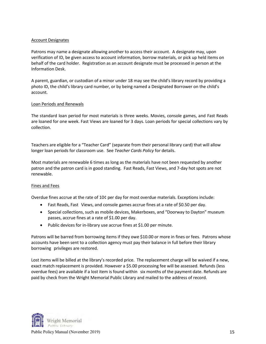#### Account Designates

Patrons may name a designate allowing another to access their account. A designate may, upon verification of ID, be given access to account information, borrow materials, or pick up held items on behalf of the card holder. Registration as an account designate must be processed in person at the Information Desk.

A parent, guardian, or custodian of a minor under 18 may see the child's library record by providing a photo ID, the child's library card number, or by being named a Designated Borrower on the child's account.

#### Loan Periods and Renewals

The standard loan period for most materials is three weeks. Movies, console games, and Fast Reads are loaned for one week. Fast Views are loaned for 3 days. Loan periods for special collections vary by collection.

Teachers are eligible for a "Teacher Card" (separate from their personal library card) that will allow longer loan periods for classroom use. See *Teacher Cards Policy* for details.

Most materials are renewable 6 times as long as the materials have not been requested by another patron and the patron card is in good standing. Fast Reads, Fast Views, and 7‐day hot spots are not renewable.

#### Fines and Fees

Overdue fines accrue at the rate of 10¢ per day for most overdue materials. Exceptions include:

- Fast Reads, Fast Views, and console games accrue fines at a rate of \$0.50 per day.
- Special collections, such as mobile devices, Makerboxes, and "Doorway to Dayton" museum passes, accrue fines at a rate of \$1.00 per day.
- Public devices for in-library use accrue fines at \$1.00 per minute.

Patrons will be barred from borrowing items if they owe \$10.00 or more in fines or fees. Patrons whose accounts have been sent to a collection agency must pay their balance in full before their library borrowing privileges are restored.

Lost items will be billed at the library's recorded price. The replacement charge will be waived if a new, exact match replacement is provided. However a \$5.00 processing fee will be assessed. Refunds (less overdue fees) are available if a lost item is found within six months of the payment date. Refunds are paid by check from the Wright Memorial Public Library and mailed to the address of record.

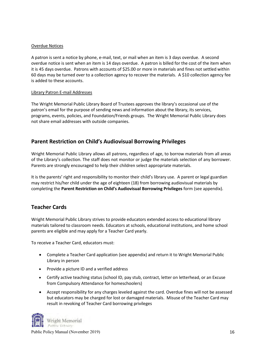#### Overdue Notices

A patron is sent a notice by phone, e‐mail, text, or mail when an item is 3 days overdue. A second overdue notice is sent when an item is 14 days overdue. A patron is billed for the cost of the item when it is 45 days overdue. Patrons with accounts of \$25.00 or more in materials and fines not settled within 60 days may be turned over to a collection agency to recover the materials. A \$10 collection agency fee is added to these accounts.

#### Library Patron E‐mail Addresses

The Wright Memorial Public Library Board of Trustees approves the library's occasional use of the patron's email for the purpose of sending news and information about the library, its services, programs, events, policies, and Foundation/Friends groups. The Wright Memorial Public Library does not share email addresses with outside companies.

#### **Parent Restriction on Child's Audiovisual Borrowing Privileges**

Wright Memorial Public Library allows all patrons, regardless of age, to borrow materials from all areas of the Library's collection. The staff does not monitor or judge the materials selection of any borrower. Parents are strongly encouraged to help their children select appropriate materials.

It is the parents' right and responsibility to monitor their child's library use. A parent or legal guardian may restrict his/her child under the age of eighteen (18) from borrowing audiovisual materials by completing the **Parent Restriction on Child's Audiovisual Borrowing Privileges** form (see appendix).

#### **Teacher Cards**

Wright Memorial Public Library strives to provide educators extended access to educational library materials tailored to classroom needs. Educators at schools, educational institutions, and home school parents are eligible and may apply for a Teacher Card yearly.

To receive a Teacher Card, educators must:

- Complete a Teacher Card application (see appendix) and return it to Wright Memorial Public Library in person
- Provide a picture ID and a verified address
- Certify active teaching status (school ID, pay stub, contract, letter on letterhead, or an Excuse from Compulsory Attendance for homeschoolers)
- Accept responsibility for any charges leveled against the card. Overdue fines will not be assessed but educators may be charged for lost or damaged materials. Misuse of the Teacher Card may result in revoking of Teacher Card borrowing privileges

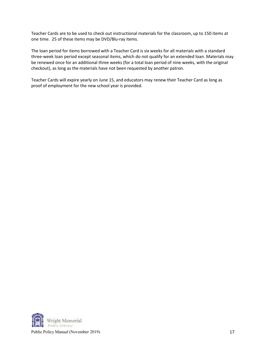Teacher Cards are to be used to check out instructional materials for the classroom, up to 150 items at one time. 25 of these items may be DVD/Blu‐ray items.

The loan period for items borrowed with a Teacher Card is six weeks for all materials with a standard three‐week loan period except seasonal items, which do not qualify for an extended loan. Materials may be renewed once for an additional three weeks (for a total loan period of nine weeks, with the original checkout), as long as the materials have not been requested by another patron.

Teacher Cards will expire yearly on June 15, and educators may renew their Teacher Card as long as proof of employment for the new school year is provided.

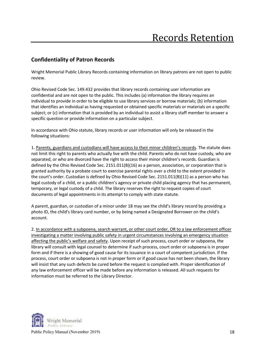#### **Confidentiality of Patron Records**

Wright Memorial Public Library Records containing information on library patrons are not open to public review.

Ohio Revised Code Sec. 149.432 provides that library records containing user information are confidential and are not open to the public. This includes (a) information the library requires an individual to provide in order to be eligible to use library services or borrow materials; (b) information that identifies an individual as having requested or obtained specific materials or materials on a specific subject; or (c) information that is provided by an individual to assist a library staff member to answer a specific question or provide information on a particular subject.

In accordance with Ohio statute, library records or user information will only be released in the following situations:

1. Parents, guardians and custodians will have access to their minor children's records. The statute does not limit this right to parents who actually live with the child. Parents who do not have custody, who are separated, or who are divorced have the right to access their minor children's records. Guardian is defined by the Ohio Revised Code Sec. 2151.011(B)(16) as a person, association, or corporation that is granted authority by a probate court to exercise parental rights over a child to the extent provided in the court's order. Custodian is defined by Ohio Revised Code Sec. 2151.011(B)(11) as a person who has legal custody of a child, or a public children's agency or private child placing agency that has permanent, temporary, or legal custody of a child. The library reserves the right to request copies of court documents of legal appointments in its attempt to comply with state statute.

A parent, guardian, or custodian of a minor under 18 may see the child's library record by providing a photo ID, the child's library card number, or by being named a Designated Borrower on the child's account.

2. In accordance with a subpoena, search warrant, or other court order, OR to a law enforcement officer investigating a matter involving public safety in urgent circumstances involving an emergency situation affecting the public's welfare and safety. Upon receipt of such process, court order or subpoena, the library will consult with legal counsel to determine if such process, court order or subpoena is in proper form and if there is a showing of good cause for its issuance in a court of competent jurisdiction. If the process, court order or subpoena is not in proper form or if good cause has not been shown, the library will insist that any such defects be cured before the request is complied with. Proper identification of any law enforcement officer will be made before any information is released. All such requests for information must be referred to the Library Director.

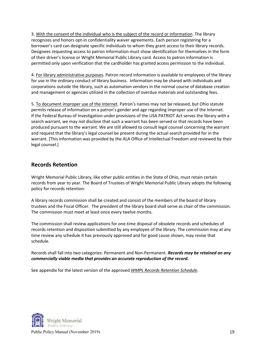3. With the consent of the individual who is the subject of the record or information. The library recognizes and honors opt-in confidentiality waiver agreements. Each person registering for a borrower's card can designate specific individuals to whom they grant access to their library records. Designees requesting access to patron information must show identification for themselves in the form of their driver's license or Wright Memorial Public Library card. Access to patron information is permitted only upon verification that the cardholder has granted access permission to the individual.

4. For library administrative purposes. Patron record information is available to employees of the library for use in the ordinary conduct of library business. Information may be shared with individuals and corporations outside the library, such as automation vendors in the normal course of database creation and management or agencies utilized in the collection of overdue materials and outstanding fees.

5. To document improper use of the Internet. Patron's names may not be released, but Ohio statute permits release of information on a patron's gender and age regarding improper use of the Internet. If the Federal Bureau of Investigation under provisions of the USA PATRIOT Act serves the library with a search warrant, we may not disclose that such a warrant has been served or that records have been produced pursuant to the warrant. We are still allowed to consult legal counsel concerning the warrant and request that the library's legal counsel be present during the actual search provided for in the warrant. [This information was provided by the ALA Office of Intellectual Freedom and reviewed by their legal counsel.]

#### **Records Retention**

Wright Memorial Public Library, like other public entities in the State of Ohio, must retain certain records from year to year. The Board of Trustees of Wright Memorial Public Library adopts the following policy for records retention:

A library records commission shall be created and consist of the members of the board of library trustees and the Fiscal Officer. The president of the library board shall serve as chair of the commission. The commission must meet at least once every twelve months.

The commission shall review applications for one‐time disposal of obsolete records and schedules of records retention and disposition submitted by any employee of the library. The commission may at any time review any schedule it has previously approved and for good cause shown, may revise that schedule.

Records shall fall into two categories: Permanent and Non‐Permanent. *Records may be retained on any commercially viable media that provides an accurate reproduction of the record.*

See appendix for the latest version of the approved *WMPL Records Retention Schedule*.

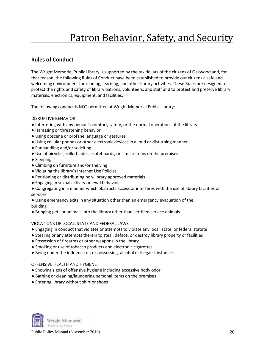## Patron Behavior, Safety, and Security

#### **Rules of Conduct**

The Wright Memorial Public Library is supported by the tax dollars of the citizens of Oakwood and, for that reason, the following Rules of Conduct have been established to provide our citizens a safe and welcoming environment for reading, learning, and other library activities. These Rules are designed to protect the rights and safety of library patrons, volunteers, and staff and to protect and preserve library materials, electronics, equipment, and facilities.

The following conduct is NOT permitted at Wright Memorial Public Library:

#### DISRUPTIVE BEHAVIOR

- Interfering with any person's comfort, safety, or the normal operations of the library
- Harassing or threatening behavior
- Using obscene or profane language or gestures
- Using cellular phones or other electronic devices in a loud or disturbing manner
- Panhandling and/or soliciting
- Use of bicycles, rollerblades, skateboards, or similar items on the premises
- Sleeping
- Climbing on furniture and/or shelving
- Violating the library's Internet Use Policies
- Petitioning or distributing non-library approved materials
- Engaging in sexual activity or lewd behavior
- Congregating in a manner which obstructs access or interferes with the use of library facilities or services
- Using emergency exits in any situation other than an emergency evacuation of the building
- Bringing pets or animals into the library other than certified service animals

#### VIOLATIONS OF LOCAL, STATE AND FEDERAL LAWS

- Engaging in conduct that violates or attempts to violate any local, state, or federal statute
- Stealing or any attempts therein to steal, deface, or destroy library property or facilities
- Possession of firearms or other weapons in the library
- Smoking or use of tobacco products and electronic cigarettes
- Being under the influence of, or possessing, alcohol or illegal substances

#### OFFENSIVE HEALTH AND HYGIENE

- Showing signs of offensive hygiene including excessive body odor
- Bathing or cleaning/laundering personal items on the premises
- Entering library without shirt or shoes

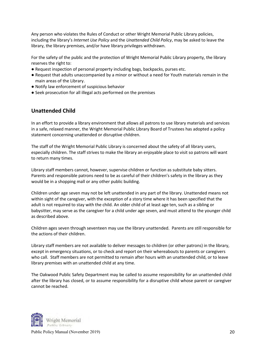Any person who violates the Rules of Conduct or other Wright Memorial Public Library policies, including the library's *Internet Use Policy* and the *Unattended Child Policy*, may be asked to leave the library, the library premises, and/or have library privileges withdrawn.

For the safety of the public and the protection of Wright Memorial Public Library property, the library reserves the right to:

- Request inspection of personal property including bags, backpacks, purses etc.
- Request that adults unaccompanied by a minor or without a need for Youth materials remain in the main areas of the Library.
- Notify law enforcement of suspicious behavior
- Seek prosecution for all illegal acts performed on the premises

#### **Unattended Child**

In an effort to provide a library environment that allows all patrons to use library materials and services in a safe, relaxed manner, the Wright Memorial Public Library Board of Trustees has adopted a policy statement concerning unattended or disruptive children.

The staff of the Wright Memorial Public Library is concerned about the safety of all library users, especially children. The staff strives to make the library an enjoyable place to visit so patrons will want to return many times.

Library staff members cannot, however, supervise children or function as substitute baby sitters. Parents and responsible patrons need to be as careful of their children's safety in the library as they would be in a shopping mall or any other public building.

Children under age seven may not be left unattended in any part of the library. Unattended means not within sight of the caregiver, with the exception of a story time where it has been specified that the adult is not required to stay with the child. An older child of at least age ten, such as a sibling or babysitter, may serve as the caregiver for a child under age seven, and must attend to the younger child as described above.

Children ages seven through seventeen may use the library unattended. Parents are still responsible for the actions of their children.

Library staff members are not available to deliver messages to children (or other patrons) in the library, except in emergency situations, or to check and report on their whereabouts to parents or caregivers who call. Staff members are not permitted to remain after hours with an unattended child, or to leave library premises with an unattended child at any time.

The Oakwood Public Safety Department may be called to assume responsibility for an unattended child after the library has closed, or to assume responsibility for a disruptive child whose parent or caregiver cannot be reached.

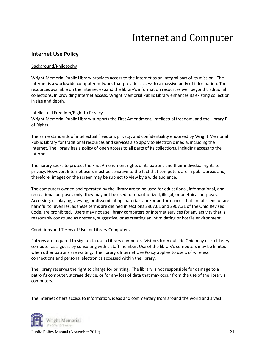#### **Internet Use Policy**

#### Background/Philosophy

Wright Memorial Public Library provides access to the Internet as an integral part of its mission. The Internet is a worldwide computer network that provides access to a massive body of information. The resources available on the Internet expand the library's information resources well beyond traditional collections. In providing Internet access, Wright Memorial Public Library enhances its existing collection in size and depth.

#### Intellectual Freedom/Right to Privacy

Wright Memorial Public Library supports the First Amendment, intellectual freedom, and the Library Bill of Rights.

The same standards of intellectual freedom, privacy, and confidentiality endorsed by Wright Memorial Public Library for traditional resources and services also apply to electronic media, including the Internet. The library has a policy of open access to all parts of its collections, including access to the Internet.

The library seeks to protect the First Amendment rights of its patrons and their individual rights to privacy. However, Internet users must be sensitive to the fact that computers are in public areas and, therefore, images on the screen may be subject to view by a wide audience.

The computers owned and operated by the library are to be used for educational, informational, and recreational purposes only; they may not be used for unauthorized, illegal, or unethical purposes. Accessing, displaying, viewing, or disseminating materials and/or performances that are obscene or are harmful to juveniles, as these terms are defined in sections 2907.01 and 2907.31 of the Ohio Revised Code, are prohibited. Users may not use library computers or internet services for any activity that is reasonably construed as obscene, suggestive, or as creating an intimidating or hostile environment.

#### Conditions and Terms of Use for Library Computers

Patrons are required to sign up to use a Library computer. Visitors from outside Ohio may use a Library computer as a guest by consulting with a staff member. Use of the library's computers may be limited when other patrons are waiting. The library's Internet Use Policy applies to users of wireless connections and personal electronics accessed within the library.

The library reserves the right to charge for printing. The library is not responsible for damage to a patron's computer, storage device, or for any loss of data that may occur from the use of the library's computers.

The Internet offers access to information, ideas and commentary from around the world and a vast

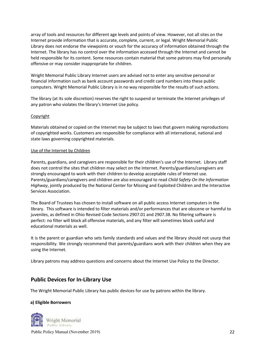array of tools and resources for different age levels and points of view. However, not all sites on the Internet provide information that is accurate, complete, current, or legal. Wright Memorial Public Library does not endorse the viewpoints or vouch for the accuracy of information obtained through the Internet. The library has no control over the information accessed through the Internet and cannot be held responsible for its content. Some resources contain material that some patrons may find personally offensive or may consider inappropriate for children.

Wright Memorial Public Library Internet users are advised not to enter any sensitive personal or financial information such as bank account passwords and credit card numbers into these public computers. Wright Memorial Public Library is in no way responsible for the results of such actions.

The library (at its sole discretion) reserves the right to suspend or terminate the Internet privileges of any patron who violates the library's Internet Use policy.

#### Copyright

Materials obtained or copied on the Internet may be subject to laws that govern making reproductions of copyrighted works. Customers are responsible for compliance with all international, national and state laws governing copyrighted materials.

#### Use of the Internet by Children

Parents, guardians, and caregivers are responsible for their children's use of the Internet. Library staff does not control the sites that children may select on the Internet. Parents/guardians/caregivers are strongly encouraged to work with their children to develop acceptable rules of Internet use. Parents/guardians/caregivers and children are also encouraged to read *Child Safety On the Information Highway*, jointly produced by the National Center for Missing and Exploited Children and the Interactive Services Association.

The Board of Trustees has chosen to install software on all public access Internet computers in the library. This software is intended to filter materials and/or performances that are obscene or harmful to juveniles, as defined in Ohio Revised Code Sections 2907.01 and 2907.38. No filtering software is perfect: no filter will block all offensive materials, and any filter will sometimes block useful and educational materials as well.

It is the parent or guardian who sets family standards and values and the library should not usurp that responsibility. We strongly recommend that parents/guardians work with their children when they are using the Internet.

Library patrons may address questions and concerns about the Internet Use Policy to the Director.

#### **Public Devices for In‐Library Use**

The Wright Memorial Public Library has public devices for use by patrons within the library.

#### **a) Eligible Borrowers**

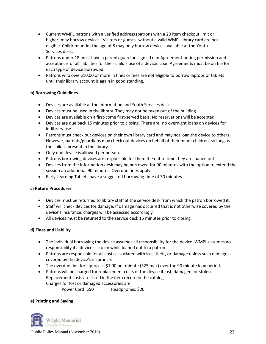- Current WMPL patrons with a verified address (patrons with a 20 item checkout limit or higher) may borrow devices. Visitors or guests without a valid WMPL library card are not eligible. Children under the age of 8 may only borrow devices available at the Youth Services desk.
- Patrons under 18 must have a parent/guardian sign a Loan Agreement noting permission and acceptance of all liabilities for their child's use of a device. Loan Agreements must be on file for each type of device borrowed.
- Patrons who owe \$10.00 or more in fines or fees are not eligible to borrow laptops or tablets until their library account is again in good standing.

#### **b) Borrowing Guidelines**

- Devices are available at the Information and Youth Services desks.
- Devices must be used in the library. They may not be taken out of the building.
- Devices are available on a first‐come first‐served basis. No reservations will be accepted.
- Devices are due back 15 minutes prior to closing. There are no overnight loans on devices for in‐library use.
- Patrons must check out devices on their own library card and may not loan the device to others. However, parents/guardians may check out devices on behalf of their minor children, so long as the child is present in the library.
- Only one device is allowed per person.
- Patrons borrowing devices are responsible for them the entire time they are loaned out.
- Devices from the Information desk may be borrowed for 90 minutes with the option to extend the session an additional 90 minutes. Overdue fines apply.
- Early Learning Tablets have a suggested borrowing time of 30 minutes.

#### **c) Return Procedures**

- Devices must be returned to library staff at the service desk from which the patron borrowed it.
- Staff will check devices for damage. If damage has occurred that is not otherwise covered by the device's insurance, charges will be assessed accordingly.
- All devices must be returned to the service desk 15 minutes prior to closing.

#### **d) Fines and Liability**

- The individual borrowing the device assumes all responsibility for the device. WMPL assumes no responsibility if a device is stolen while loaned out to a patron.
- Patrons are responsible for all costs associated with loss, theft, or damage unless such damage is covered by the device's insurance.
- The overdue fine for laptops is \$1.00 per minute (\$25 max) over the 90 minute loan period.
- Patrons will be charged for replacement costs of the device if lost, damaged, or stolen. Replacement costs are listed in the item record in the catalog. Charges for lost or damaged accessories are:

Power Cord: \$50 Headphones: \$20

#### **e) Printing and Saving**

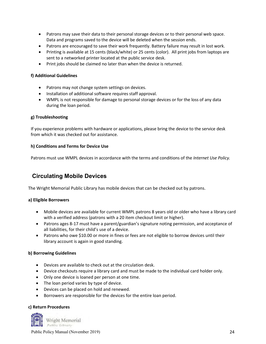- Patrons may save their data to their personal storage devices or to their personal web space. Data and programs saved to the device will be deleted when the session ends.
- Patrons are encouraged to save their work frequently. Battery failure may result in lost work.
- Printing is available at 15 cents (black/white) or 25 cents (color). All print jobs from laptops are sent to a networked printer located at the public service desk.
- Print jobs should be claimed no later than when the device is returned.

#### **f) Additional Guidelines**

- Patrons may not change system settings on devices.
- Installation of additional software requires staff approval.
- WMPL is not responsible for damage to personal storage devices or for the loss of any data during the loan period.

#### **g) Troubleshooting**

If you experience problems with hardware or applications, please bring the device to the service desk from which it was checked out for assistance.

#### **h) Conditions and Terms for Device Use**

Patrons must use WMPL devices in accordance with the terms and conditions of the *Internet Use Policy.*

#### **Circulating Mobile Devices**

The Wright Memorial Public Library has mobile devices that can be checked out by patrons.

#### **a) Eligible Borrowers**

- Mobile devices are available for current WMPL patrons 8 years old or older who have a library card with a verified address (patrons with a 20 item checkout limit or higher).
- Patrons ages 8-17 must have a parent/guardian's signature noting permission, and acceptance of all liabilities, for their child's use of a device.
- Patrons who owe \$10.00 or more in fines or fees are not eligible to borrow devices until their library account is again in good standing.

#### **b) Borrowing Guidelines**

- Devices are available to check out at the circulation desk.
- Device checkouts require a library card and must be made to the individual card holder only.
- Only one device is loaned per person at one time.
- The loan period varies by type of device.
- Devices can be placed on hold and renewed.
- Borrowers are responsible for the devices for the entire loan period.

#### **c) Return Procedures**

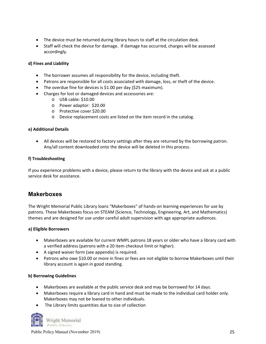- The device must be returned during library hours to staff at the circulation desk.
- Staff will check the device for damage. If damage has occurred, charges will be assessed accordingly.

#### **d) Fines and Liability**

- The borrower assumes all responsibility for the device, including theft.
- Patrons are responsible for all costs associated with damage, loss, or theft of the device.
- The overdue fine for devices is \$1.00 per day (\$25 maximum).
- Charges for lost or damaged devices and accessories are:
	- o USB cable: \$10.00
	- o Power adaptor: \$20.00
	- o Protective cover \$20.00
	- o Device replacement costs are listed on the item record in the catalog.

#### **e) Additional Details**

 All devices will be restored to factory settings after they are returned by the borrowing patron. Any/all content downloaded onto the device will be deleted in this process.

#### **f) Troubleshooting**

If you experience problems with a device, please return to the library with the device and ask at a public service desk for assistance.

#### **Makerboxes**

The Wright Memorial Public Library loans "Makerboxes" of hands‐on learning experiences for use by patrons. These Makerboxes focus on STEAM (Science, Technology, Engineering, Art, and Mathematics) themes and are designed for use under careful adult supervision with age appropriate audiences.

#### **a) Eligible Borrowers**

- Makerboxes are available for current WMPL patrons 18 years or older who have a library card with a verified address (patrons with a 20 item checkout limit or higher).
- A signed waiver form (see appendix) is required.
- Patrons who owe \$10.00 or more in fines or fees are not eligible to borrow Makerboxes until their library account is again in good standing.

#### **b) Borrowing Guidelines**

- Makerboxes are available at the public service desk and may be borrowed for 14 days.
- Makerboxes require a library card in hand and must be made to the individual card holder only. Makerboxes may not be loaned to other individuals.
- The Library limits quantities due to size of collection

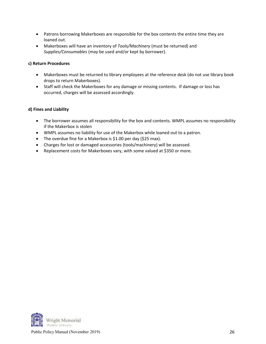- Patrons borrowing Makerboxes are responsible for the box contents the entire time they are loaned out.
- Makerboxes will have an inventory of *Tools/Machinery* (must be returned) and *Supplies/Consumables* (may be used and/or kept by borrower).

#### **c) Return Procedures**

- Makerboxes must be returned to library employees at the reference desk (do not use library book drops to return Makerboxes).
- Staff will check the Makerboxes for any damage or missing contents. If damage or loss has occurred, charges will be assessed accordingly.

#### **d) Fines and Liability**

- The borrower assumes all responsibility for the box and contents. WMPL assumes no responsibility if the Makerbox is stolen
- WMPL assumes no liability for use of the Makerbox while loaned out to a patron.
- The overdue fine for a Makerbox is \$1.00 per day (\$25 max).
- Charges for lost or damaged accessories (tools/machinery) will be assessed.
- Replacement costs for Makerboxes vary, with some valued at \$350 or more.

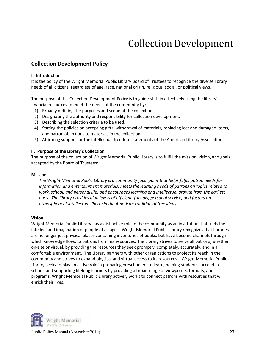#### **Collection Development Policy**

#### **I. Introduction**

It is the policy of the Wright Memorial Public Library Board of Trustees to recognize the diverse library needs of all citizens, regardless of age, race, national origin, religious, social, or political views.

The purpose of this Collection Development Policy is to guide staff in effectively using the library's financial resources to meet the needs of the community by:

- 1) Broadly defining the purposes and scope of the collection.
- 2) Designating the authority and responsibility for collection development.
- 3) Describing the selection criteria to be used.
- 4) Stating the policies on accepting gifts, withdrawal of materials, replacing lost and damaged items, and patron objections to materials in the collection.
- 5) Affirming support for the intellectual freedom statements of the American Library Association.

#### **II. Purpose of the Library's Collection**

The purpose of the collection of Wright Memorial Public Library is to fulfill the mission, vision, and goals accepted by the Board of Trustees:

#### **Mission**

*The Wright Memorial Public Library is a community focal point that helps fulfill patron needs for information and entertainment materials; meets the learning needs of patrons on topics related to work, school, and personal life; and encourages learning and intellectual growth from the earliest ages. The library provides high levels of efficient, friendly, personal service; and fosters an atmosphere of intellectual liberty in the American tradition of free ideas.*

#### **Vision**

Wright Memorial Public Library has a distinctive role in the community as an institution that fuels the intellect and imagination of people of all ages. Wright Memorial Public Library recognizes that libraries are no longer just physical places containing inventories of books, but have become channels through which knowledge flows to patrons from many sources. The Library strives to serve all patrons, whether on‐site or virtual, by providing the resources they seek promptly, completely, accurately, and in a comfortable environment. The Library partners with other organizations to project its reach in the community and strives to expand physical and virtual access to its resources. Wright Memorial Public Library seeks to play an active role in preparing preschoolers to learn, helping students succeed in school, and supporting lifelong learners by providing a broad range of viewpoints, formats, and programs. Wright Memorial Public Library actively works to connect patrons with resources that will enrich their lives.

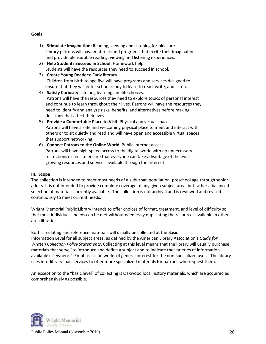#### **Goals**

- 1) **Stimulate Imagination:** Reading, viewing and listening for pleasure. Library patrons will have materials and programs that excite their imaginations and provide pleasurable reading, viewing and listening experiences.
- 2) **Help Students Succeed in School:** Homework help. Students will have the resources they need to succeed in school.
- 3) **Create Young Readers:** Early literacy. Children from birth to age five will have programs and services designed to ensure that they will enter school ready to learn to read, write, and listen.
- 4) **Satisfy Curiosity:** Lifelong learning and life choices. Patrons will have the resources they need to explore topics of personal interest and continue to learn throughout their lives. Patrons will have the resources they need to identify and analyze risks, benefits, and alternatives before making decisions that affect their lives.
- 5) **Provide a Comfortable Place to Visit:** Physical and virtual spaces. Patrons will have a safe and welcoming physical place to meet and interact with others or to sit quietly and read and will have open and accessible virtual spaces that support networking.
- 6) **Connect Patrons to the Online World:** Public Internet access. Patrons will have high‐speed access to the digital world with no unnecessary restrictions or fees to ensure that everyone can take advantage of the ever‐ growing resources and services available through the Internet.

#### **III. Scope**

The collection is intended to meet most needs of a suburban population, preschool age through senior adults. It is not intended to provide complete coverage of any given subject area, but rather a balanced selection of materials currently available. The collection is not archival and is reviewed and revised continuously to meet current needs.

Wright Memorial Public Library intends to offer choices of format, treatment, and level of difficulty so that most individuals' needs can be met without needlessly duplicating the resources available in other area libraries.

Both circulating and reference materials will usually be collected at the Basic Information Level for all subject areas, as defined by the American Library Association's *Guide for Written Collection Policy Statements*. Collecting at this level means that the library will usually purchase materials that serve "to introduce and define a subject and to indicate the varieties of information available elsewhere." Emphasis is on works of general interest for the non-specialized user. The library uses interlibrary loan services to offer more specialized materials for patrons who request them.

An exception to the "basic level" of collecting is Oakwood local history materials, which are acquired as comprehensively as possible.

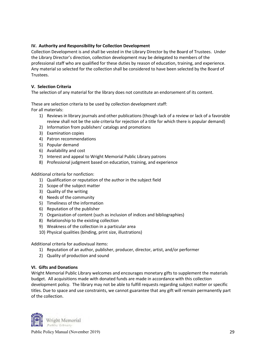#### **IV. Authority and Responsibility for Collection Development**

Collection Development is and shall be vested in the Library Director by the Board of Trustees. Under the Library Director's direction, collection development may be delegated to members of the professional staff who are qualified for these duties by reason of education, training, and experience. Any material so selected for the collection shall be considered to have been selected by the Board of Trustees.

#### **V. Selection Criteria**

The selection of any material for the library does not constitute an endorsement of its content.

These are selection criteria to be used by collection development staff: For all materials:

- 1) Reviews in library journals and other publications (though lack of a review or lack of a favorable review shall not be the sole criteria for rejection of a title for which there is popular demand)
- 2) Information from publishers' catalogs and promotions
- 3) Examination copies
- 4) Patron recommendations
- 5) Popular demand
- 6) Availability and cost
- 7) Interest and appeal to Wright Memorial Public Library patrons
- 8) Professional judgment based on education, training, and experience

Additional criteria for nonfiction:

- 1) Qualification or reputation of the author in the subject field
- 2) Scope of the subject matter
- 3) Quality of the writing
- 4) Needs of the community
- 5) Timeliness of the information
- 6) Reputation of the publisher
- 7) Organization of content (such as inclusion of indices and bibliographies)
- 8) Relationship to the existing collection
- 9) Weakness of the collection in a particular area
- 10) Physical qualities (binding, print size, illustrations)

Additional criteria for audiovisual items:

- 1) Reputation of an author, publisher, producer, director, artist, and/or performer
- 2) Quality of production and sound

#### **VI. Gifts and Donations**

Wright Memorial Public Library welcomes and encourages monetary gifts to supplement the materials budget. All acquisitions made with donated funds are made in accordance with this collection development policy. The library may not be able to fulfill requests regarding subject matter or specific titles. Due to space and use constraints, we cannot guarantee that any gift will remain permanently part of the collection.

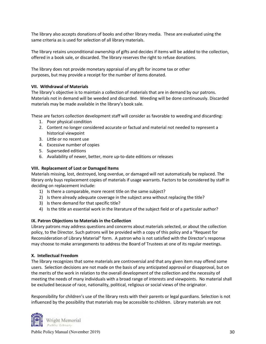The library also accepts donations of books and other library media. These are evaluated using the same criteria as is used for selection of all library materials.

The library retains unconditional ownership of gifts and decides if items will be added to the collection, offered in a book sale, or discarded. The library reserves the right to refuse donations.

The library does not provide monetary appraisal of any gift for income tax or other purposes, but may provide a receipt for the number of items donated.

#### **VII. Withdrawal of Materials**

The library's objective is to maintain a collection of materials that are in demand by our patrons. Materials not in demand will be weeded and discarded. Weeding will be done continuously. Discarded materials may be made available in the library's book sale.

These are factors collection development staff will consider as favorable to weeding and discarding:

- 1. Poor physical condition
- 2. Content no longer considered accurate or factual and material not needed to represent a historical viewpoint
- 3. Little or no recent use
- 4. Excessive number of copies
- 5. Superseded editions
- 6. Availability of newer, better, more up‐to‐date editions or releases

#### **VIII. Replacement of Lost or Damaged Items**

Materials missing, lost, destroyed, long overdue, or damaged will not automatically be replaced. The library only buys replacement copies of materials if usage warrants. Factors to be considered by staff in deciding on replacement include:

- 1) Is there a comparable, more recent title on the same subject?
- 2) Is there already adequate coverage in the subject area without replacing the title?
- 3) Is there demand for that specific title?
- 4) Is the title an essential work in the literature of the subject field or of a particular author?

#### **IX. Patron Objections to Materials in the Collection**

Library patrons may address questions and concerns about materials selected, or about the collection policy, to the Director. Such patrons will be provided with a copy of this policy and a "Request for Reconsideration of Library Material" form. A patron who is not satisfied with the Director's response may choose to make arrangements to address the Board of Trustees at one of its regular meetings.

#### **X. Intellectual Freedom**

The library recognizes that some materials are controversial and that any given item may offend some users. Selection decisions are not made on the basis of any anticipated approval or disapproval, but on the merits of the work in relation to the overall development of the collection and the necessity of meeting the needs of many individuals with a broad range of interests and viewpoints. No material shall be excluded because of race, nationality, political, religious or social views of the originator.

Responsibility for children's use of the library rests with their parents or legal guardians. Selection is not influenced by the possibility that materials may be accessible to children. Library materials are not

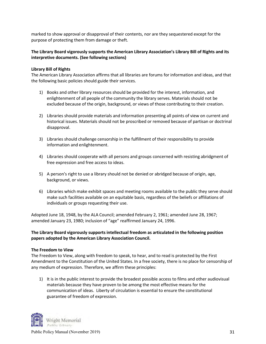marked to show approval or disapproval of their contents, nor are they sequestered except for the purpose of protecting them from damage or theft.

#### **The Library Board vigorously supports the American Library Association's Library Bill of Rights and its interpretive documents. (See following sections)**

#### **Library Bill of Rights**

The American Library Association affirms that all libraries are forums for information and ideas, and that the following basic policies should guide their services.

- 1) Books and other library resources should be provided for the interest, information, and enlightenment of all people of the community the library serves. Materials should not be excluded because of the origin, background, or views of those contributing to their creation.
- 2) Libraries should provide materials and information presenting all points of view on current and historical issues. Materials should not be proscribed or removed because of partisan or doctrinal disapproval.
- 3) Libraries should challenge censorship in the fulfillment of their responsibility to provide information and enlightenment.
- 4) Libraries should cooperate with all persons and groups concerned with resisting abridgment of free expression and free access to ideas.
- 5) A person's right to use a library should not be denied or abridged because of origin, age, background, or views.
- 6) Libraries which make exhibit spaces and meeting rooms available to the public they serve should make such facilities available on an equitable basis, regardless of the beliefs or affiliations of individuals or groups requesting their use.

Adopted June 18, 1948, by the ALA Council; amended February 2, 1961; amended June 28, 1967; amended January 23, 1980; inclusion of "age" reaffirmed January 24, 1996.

**The Library Board vigorously supports intellectual freedom as articulated in the following position papers adopted by the American Library Association Council.**

#### **The Freedom to View**

The Freedom to View, along with freedom to speak, to hear, and to read is protected by the First Amendment to the Constitution of the United States. In a free society, there is no place for censorship of any medium of expression. Therefore, we affirm these principles:

1) It is in the public interest to provide the broadest possible access to films and other audiovisual materials because they have proven to be among the most effective means for the communication of ideas. Liberty of circulation is essential to ensure the constitutional guarantee of freedom of expression.

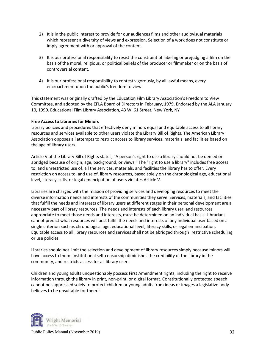- 2) It is in the public interest to provide for our audiences films and other audiovisual materials which represent a diversity of views and expression. Selection of a work does not constitute or imply agreement with or approval of the content.
- 3) It is our professional responsibility to resist the constraint of labeling or prejudging a film on the basis of the moral, religious, or political beliefs of the producer or filmmaker or on the basis of controversial content.
- 4) It is our professional responsibility to contest vigorously, by all lawful means, every encroachment upon the public's freedom to view.

This statement was originally drafted by the Education Film Library Association's Freedom to View Committee, and adopted by the EFLA Board of Directors in February, 1979. Endorsed by the ALA January 10, 1990. Educational Film Library Association, 43 W. 61 Street, New York, NY

#### **Free Access to Libraries for Minors**

Library policies and procedures that effectively deny minors equal and equitable access to all library resources and services available to other users violate the Library Bill of Rights. The American Library Association opposes all attempts to restrict access to library services, materials, and facilities based on the age of library users.

Article V of the Library Bill of Rights states, "A person's right to use a library should not be denied or abridged because of origin, age, background, or views." The "right to use a library" includes free access to, and unrestricted use of, all the services, materials, and facilities the library has to offer. Every restriction on access to, and use of, library resources, based solely on the chronological age, educational level, literacy skills, or legal emancipation of users violates Article V.

Libraries are charged with the mission of providing services and developing resources to meet the diverse information needs and interests of the communities they serve. Services, materials, and facilities that fulfill the needs and interests of library users at different stages in their personal development are a necessary part of library resources. The needs and interests of each library user, and resources appropriate to meet those needs and interests, must be determined on an individual basis. Librarians cannot predict what resources will best fulfill the needs and interests of any individual user based on a single criterion such as chronological age, educational level, literacy skills, or legal emancipation. Equitable access to all library resources and services shall not be abridged through restrictive scheduling or use policies.

Libraries should not limit the selection and development of library resources simply because minors will have access to them. Institutional self-censorship diminishes the credibility of the library in the community, and restricts access for all library users.

Children and young adults unquestionably possess First Amendment rights, including the right to receive information through the library in print, non-print, or digital format. Constitutionally protected speech cannot be suppressed solely to protect children or young adults from ideas or images a legislative body believes to be unsuitable for them. $1$ 

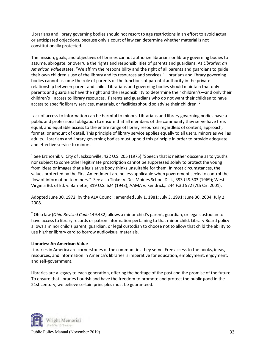Librarians and library governing bodies should not resort to age restrictions in an effort to avoid actual or anticipated objections, because only a court of law can determine whether material is not constitutionally protected.

The mission, goals, and objectives of libraries cannot authorize librarians or library governing bodies to assume, abrogate, or overrule the rights and responsibilities of parents and guardians. As *Libraries: an American Value* states, "We affirm the responsibility and the right of all parents and guardians to guide their own children's use of the library and its resources and services." Librarians and library governing bodies cannot assume the role of parents or the functions of parental authority in the private relationship between parent and child. Librarians and governing bodies should maintain that only parents and guardians have the right and the responsibility to determine their children's—and only their children's—access to library resources. Parents and guardians who do not want their children to have access to specific library services, materials, or facilities should so advise their children.<sup>2</sup>

Lack of access to information can be harmful to minors. Librarians and library governing bodies have a public and professional obligation to ensure that all members of the community they serve have free, equal, and equitable access to the entire range of library resources regardless of content, approach, format, or amount of detail. This principle of library service applies equally to all users, minors as well as adults. Librarians and library governing bodies must uphold this principle in order to provide adequate and effective service to minors.

<sup>1</sup> See Erznoznik v. City of Jacksonville, 422 U.S. 205 (1975) "Speech that is neither obscene as to youths nor subject to some other legitimate proscription cannot be suppressed solely to protect the young from ideas or images that a legislative body thinks unsuitable for them. In most circumstances, the values protected by the First Amendment are no less applicable when government seeks to control the flow of information to minors." See also Tinker v. Des Moines School Dist., 393 U.S.503 (1969); West Virginia Bd. of Ed. v. Barnette, 319 U.S. 624 (1943); AAMA v. Kendrick,. 244 F.3d 572 (7th Cir. 2001).

Adopted June 30, 1972, by the ALA Council; amended July 1, 1981; July 3, 1991; June 30, 2004; July 2, 2008.

2 Ohio law (*Ohio Revised Code* 149.432) allows a minor child's parent, guardian, or legal custodian to have access to library records or patron information pertaining to that minor child. Library Board policy allows a minor child's parent, guardian, or legal custodian to choose not to allow that child the ability to use his/her library card to borrow audiovisual materials.

#### **Libraries: An American Value**

Libraries in America are cornerstones of the communities they serve. Free access to the books, ideas, resources, and information in America's libraries is imperative for education, employment, enjoyment, and self‐government.

Libraries are a legacy to each generation, offering the heritage of the past and the promise of the future. To ensure that libraries flourish and have the freedom to promote and protect the public good in the 21st century, we believe certain principles must be guaranteed.

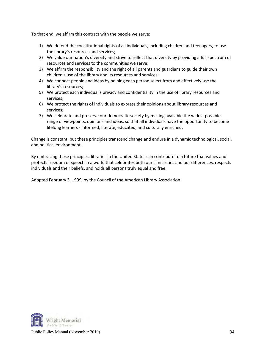To that end, we affirm this contract with the people we serve:

- 1) We defend the constitutional rights of all individuals, including children and teenagers, to use the library's resources and services;
- 2) We value our nation's diversity and strive to reflect that diversity by providing a full spectrum of resources and services to the communities we serve;
- 3) We affirm the responsibility and the right of all parents and guardians to guide their own children's use of the library and its resources and services;
- 4) We connect people and ideas by helping each person select from and effectively use the library's resources;
- 5) We protect each individual's privacy and confidentiality in the use of library resources and services;
- 6) We protect the rights of individuals to express their opinions about library resources and services;
- 7) We celebrate and preserve our democratic society by making available the widest possible range of viewpoints, opinions and ideas, so that all individuals have the opportunity to become lifelong learners ‐ informed, literate, educated, and culturally enriched.

Change is constant, but these principles transcend change and endure in a dynamic technological, social, and political environment.

By embracing these principles, libraries in the United States can contribute to a future that values and protects freedom of speech in a world that celebrates both our similarities and our differences, respects individuals and their beliefs, and holds all persons truly equal and free.

Adopted February 3, 1999, by the Council of the American Library Association

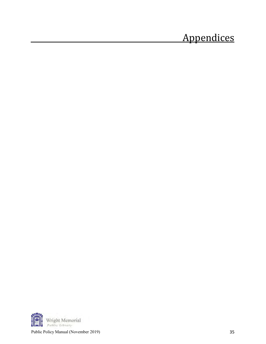## Appendices

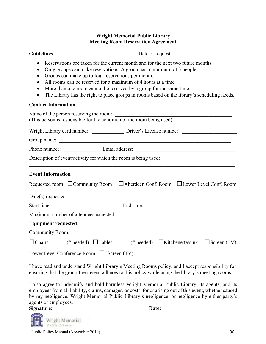#### **Wright Memorial Public Library Meeting Room Reservation Agreement**

Guidelines Date of request:

- Reservations are taken for the current month and for the next two future months.
- Only groups can make reservations. A group has a minimum of 3 people.
- Groups can make up to four reservations per month.
- All rooms can be reserved for a maximum of 4 hours at a time.
- More than one room cannot be reserved by a group for the same time.
- The Library has the right to place groups in rooms based on the library's scheduling needs.

#### **Contact Information**

|                                                                 | Name of the person reserving the room:<br>(This person is responsible for the condition of the room being used) |
|-----------------------------------------------------------------|-----------------------------------------------------------------------------------------------------------------|
|                                                                 | Wright Library card number: ___________________ Driver's License number: ___________________________            |
|                                                                 |                                                                                                                 |
|                                                                 |                                                                                                                 |
| Description of event/activity for which the room is being used: |                                                                                                                 |
| <b>Event Information</b>                                        |                                                                                                                 |
|                                                                 | Requested room: $\Box$ Community Room $\Box$ Aberdeen Conf. Room $\Box$ Lower Level Conf. Room                  |
|                                                                 | Date(s) requested:                                                                                              |
|                                                                 |                                                                                                                 |
| Maximum number of attendees expected:                           |                                                                                                                 |
| <b>Equipment requested:</b>                                     |                                                                                                                 |
| <b>Community Room:</b>                                          |                                                                                                                 |
|                                                                 | $\Box$ Chairs (# needed) $\Box$ Tables (# needed) $\Box$ Kitchenette/sink $\Box$ Screen (TV)                    |
| Lower Level Conference Room: $\Box$ Screen (TV)                 |                                                                                                                 |

I have read and understand Wright Library's Meeting Rooms policy, and I accept responsibility for ensuring that the group I represent adheres to this policy while using the library's meeting rooms.

I also agree to indemnify and hold harmless Wright Memorial Public Library, its agents, and its employees from all liability, claims, damages, or costs, for or arising out of this event, whether caused by my negligence, Wright Memorial Public Library's negligence, or negligence by either party's agents or employees.

**Signature:** \_\_\_\_\_\_\_\_\_\_\_\_\_\_\_\_\_\_\_\_\_\_\_\_\_\_\_\_\_\_\_\_\_\_ **Date:** \_\_\_\_\_\_\_\_\_\_\_\_\_\_\_\_\_\_\_\_\_\_\_\_\_\_

Wright Memorial Public Library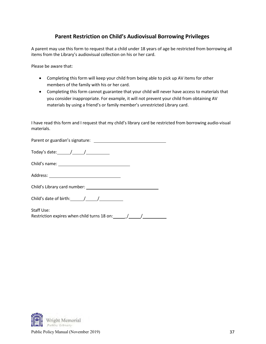#### **Parent Restriction on Child's Audiovisual Borrowing Privileges**

A parent may use this form to request that a child under 18 years of age be restricted from borrowing all items from the Library's audiovisual collection on his or her card.

Please be aware that:

- Completing this form will keep your child from being able to pick up AV items for other members of the family with his or her card.
- Completing this form cannot guarantee that your child will never have access to materials that you consider inappropriate. For example, it will not prevent your child from obtaining AV materials by using a friend's or family member's unrestricted Library card.

I have read this form and I request that my child's library card be restricted from borrowing audio‐visual materials.

| Today's date: $\frac{1}{\sqrt{1-\frac{1}{2}}}\frac{1}{\sqrt{1-\frac{1}{2}}}\frac{1}{\sqrt{1-\frac{1}{2}}}\frac{1}{\sqrt{1-\frac{1}{2}}}\frac{1}{\sqrt{1-\frac{1}{2}}}\frac{1}{\sqrt{1-\frac{1}{2}}}\frac{1}{\sqrt{1-\frac{1}{2}}}\frac{1}{\sqrt{1-\frac{1}{2}}}\frac{1}{\sqrt{1-\frac{1}{2}}}\frac{1}{\sqrt{1-\frac{1}{2}}}\frac{1}{\sqrt{1-\frac{1}{2}}}\frac{1}{\sqrt{1-\frac{1}{2}}}\frac{1}{\sqrt{1-\frac{1}{$ |  |
|--------------------------------------------------------------------------------------------------------------------------------------------------------------------------------------------------------------------------------------------------------------------------------------------------------------------------------------------------------------------------------------------------------------------|--|
|                                                                                                                                                                                                                                                                                                                                                                                                                    |  |
|                                                                                                                                                                                                                                                                                                                                                                                                                    |  |
|                                                                                                                                                                                                                                                                                                                                                                                                                    |  |
|                                                                                                                                                                                                                                                                                                                                                                                                                    |  |
| Staff Use:<br>Restriction expires when child turns 18 on: $\frac{1}{\sqrt{2}}$ /                                                                                                                                                                                                                                                                                                                                   |  |

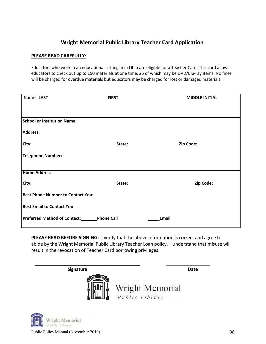#### **Wright Memorial Public Library Teacher Card Application**

#### **PLEASE READ CAREFULLY:**

Educators who work in an educational setting in in Ohio are eligible for a Teacher Card. This card allows educators to check out up to 150 materials at one time, 25 of which may be DVD/Blu‐ray items. No fines will be charged for overdue materials but educators may be charged for lost or damaged materials.

| Name: LAST                               | <b>FIRST</b> | <b>MIDDLE INITIAL</b> |
|------------------------------------------|--------------|-----------------------|
|                                          |              |                       |
| <b>School or Institution Name:</b>       |              |                       |
| <b>Address:</b>                          |              |                       |
| City:                                    | State:       | Zip Code:             |
| <b>Telephone Number:</b>                 |              |                       |
|                                          |              |                       |
| <b>Home Address:</b>                     |              |                       |
| City:                                    | State:       | Zip Code:             |
| <b>Best Phone Number to Contact You:</b> |              |                       |
| <b>Best Email to Contact You:</b>        |              |                       |
| Preferred Method of Contact: Phone Call  |              | Email                 |
|                                          |              |                       |

**PLEASE READ BEFORE SIGNING: I verify that the above information is correct and agree to** abide by the Wright Memorial Public Library Teacher Loan policy. I understand that misuse will result in the revocation of Teacher Card borrowing privileges.



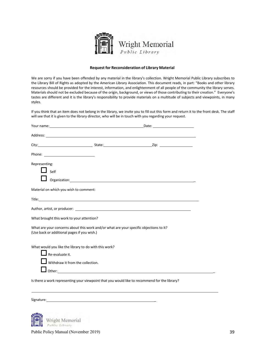

#### **Request for Reconsideration of Library Material**

We are sorry if you have been offended by any material in the library's collection. Wright Memorial Public Library subscribes to the Library Bill of Rights as adopted by the American Library Association. This document reads, in part: "Books and other library resources should be provided for the interest, information, and enlightenment of all people of the community the library serves. Materials should not be excluded because of the origin, background, or views of those contributing to their creation." Everyone's tastes are different and it is the library's responsibility to provide materials on a multitude of subjects and viewpoints, in many styles.

If you think that an item does not belong in the library, we invite you to fill out this form and return it to the front desk. The staff will see that it is given to the library director, who will be in touch with you regarding your request.

|                                                       |                                                                                         | Date: ___________________________                                                                                                                                                                                              |  |
|-------------------------------------------------------|-----------------------------------------------------------------------------------------|--------------------------------------------------------------------------------------------------------------------------------------------------------------------------------------------------------------------------------|--|
|                                                       |                                                                                         |                                                                                                                                                                                                                                |  |
|                                                       |                                                                                         |                                                                                                                                                                                                                                |  |
|                                                       |                                                                                         |                                                                                                                                                                                                                                |  |
| Representing:<br>$\Box$ Self                          |                                                                                         | Organization: experience of the contract of the contract of the contract of the contract of the contract of the contract of the contract of the contract of the contract of the contract of the contract of the contract of th |  |
| Material on which you wish to comment:                |                                                                                         |                                                                                                                                                                                                                                |  |
|                                                       | Title: www.archive.com/www.archive.com/www.archive.com/www.archive.com/www.archive.com/ |                                                                                                                                                                                                                                |  |
|                                                       |                                                                                         |                                                                                                                                                                                                                                |  |
| What brought this work to your attention?             |                                                                                         |                                                                                                                                                                                                                                |  |
| (Use back or additional pages if you wish.)           | What are your concerns about this work and/or what are your specific objections to it?  |                                                                                                                                                                                                                                |  |
| What would you like the library to do with this work? |                                                                                         |                                                                                                                                                                                                                                |  |
| $\Box$ Re-evaluate it.                                |                                                                                         |                                                                                                                                                                                                                                |  |
| Withdraw it from the collection.                      |                                                                                         |                                                                                                                                                                                                                                |  |
|                                                       |                                                                                         | Other: etc. and the contract of the contract of the contract of the contract of the contract of the contract of the contract of the contract of the contract of the contract of the contract of the contract of the contract o |  |
|                                                       |                                                                                         | Is there a work representing your viewpoint that you would like to recommend for the library?                                                                                                                                  |  |
|                                                       |                                                                                         |                                                                                                                                                                                                                                |  |

Signature:

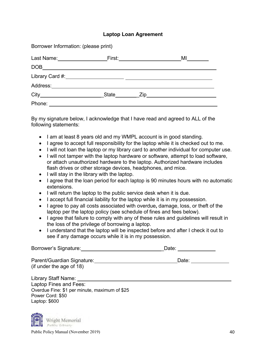#### **Laptop Loan Agreement**

| Borrower Information: (please print) |              |     |    |  |  |
|--------------------------------------|--------------|-----|----|--|--|
| Last Name:                           | First:       |     | MI |  |  |
| DOB                                  |              |     |    |  |  |
| Library Card #: University Card #:   |              |     |    |  |  |
| Address:                             |              |     |    |  |  |
| $City_$                              | <b>State</b> | Zip |    |  |  |
| Phone:                               |              |     |    |  |  |

By my signature below, I acknowledge that I have read and agreed to ALL of the following statements:

- I am at least 8 years old and my WMPL account is in good standing.
- I agree to accept full responsibility for the laptop while it is checked out to me.
- I will not loan the laptop or my library card to another individual for computer use.
- I will not tamper with the laptop hardware or software, attempt to load software, or attach unauthorized hardware to the laptop. Authorized hardware includes flash drives or other storage devices, headphones, and mice.
- $\bullet$  I will stay in the library with the laptop.
- I agree that the loan period for each laptop is 90 minutes hours with no automatic extensions.
- I will return the laptop to the public service desk when it is due.
- I accept full financial liability for the laptop while it is in my possession.
- I agree to pay all costs associated with overdue**,** damage, loss, or theft of the laptop per the laptop policy (see schedule of fines and fees below).
- I agree that failure to comply with any of these rules and guidelines will result in the loss of the privilege of borrowing a laptop.
- I understand that the laptop will be inspected before and after I check it out to see if any damage occurs while it is in my possession.

| Borrower's Signature:                                  | Date: |  |
|--------------------------------------------------------|-------|--|
| Parent/Guardian Signature:<br>(if under the age of 18) | Date: |  |
| Library Staff Name:<br>Laptop Fines and Fees:          |       |  |
| Overdue Fine: \$1 per minute, maximum of \$25          |       |  |
| Power Cord: \$50                                       |       |  |
| Laptop: \$600                                          |       |  |

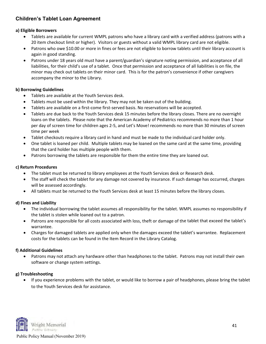#### **Children's Tablet Loan Agreement**

#### **a) Eligible Borrowers**

- Tablets are available for current WMPL patrons who have a library card with a verified address (patrons with a 20 item checkout limit or higher). Visitors or guests without a valid WMPL library card are not eligible.
- Patrons who owe \$10.00 or more in fines or fees are not eligible to borrow tablets until their library account is again in good standing.
- Patrons under 18 years old must have a parent/guardian's signature noting permission, and acceptance of all liabilities, for their child's use of a tablet. Once that permission and acceptance of all liabilities is on file, the minor may check out tablets on their minor card. This is for the patron's convenience if other caregivers accompany the minor to the Library.

#### **b) Borrowing Guidelines**

- Tablets are available at the Youth Services desk.
- Tablets must be used within the library. They may not be taken out of the building.
- Tablets are available on a first‐come first‐served basis. No reservations will be accepted.
- Tablets are due back to the Youth Services desk 15 minutes before the library closes. There are no overnight loans on the tablets. Please note that the American Academy of Pediatrics recommends no more than 1 hour per day of screen time for children ages 2‐5, and Let's Move! recommends no more than 30 minutes of screen time per week
- Tablet checkouts require a library card in hand and must be made to the individual card holder only.
- One tablet is loaned per child. Multiple tablets may be loaned on the same card at the same time, providing that the card holder has multiple people with them.
- Patrons borrowing the tablets are responsible for them the entire time they are loaned out.

#### **c) Return Procedures**

- The tablet must be returned to library employees at the Youth Services desk or Research desk.
- The staff will check the tablet for any damage not covered by insurance. If such damage has occurred, charges will be assessed accordingly.
- All tablets must be returned to the Youth Services desk at least 15 minutes before the library closes.

#### **d) Fines and Liability**

- The individual borrowing the tablet assumes all responsibility for the tablet. WMPL assumes no responsibility if the tablet is stolen while loaned out to a patron.
- Patrons are responsible for all costs associated with loss, theft or damage of the tablet that exceed the tablet's warrantee.
- Charges for damaged tablets are applied only when the damages exceed the tablet's warrantee. Replacement costs for the tablets can be found in the Item Record in the Library Catalog.

#### **f) Additional Guidelines**

 Patrons may not attach any hardware other than headphones to the tablet. Patrons may not install their own software or change system settings.

#### **g) Troubleshooting**

 If you experience problems with the tablet, or would like to borrow a pair of headphones, please bring the tablet to the Youth Services desk for assistance.

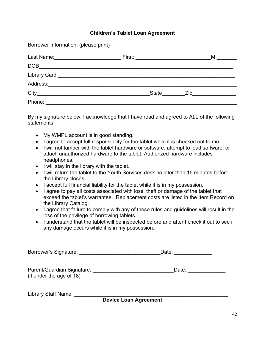#### **Children's Tablet Loan Agreement**

| Borrower Information: (please print)                                                                                                                                                                                                                                                                                                         |                                |                       |
|----------------------------------------------------------------------------------------------------------------------------------------------------------------------------------------------------------------------------------------------------------------------------------------------------------------------------------------------|--------------------------------|-----------------------|
| Last Name: _______________________________                                                                                                                                                                                                                                                                                                   | First: _______________________ | <b>MI</b> and the set |
| $\begin{picture}(180,10) \put(0,0){\line(1,0){100}} \put(15,0){\line(1,0){100}} \put(15,0){\line(1,0){100}} \put(15,0){\line(1,0){100}} \put(15,0){\line(1,0){100}} \put(15,0){\line(1,0){100}} \put(15,0){\line(1,0){100}} \put(15,0){\line(1,0){100}} \put(15,0){\line(1,0){100}} \put(15,0){\line(1,0){100}} \put(15,0){\line(1,0){100}}$ |                                |                       |
|                                                                                                                                                                                                                                                                                                                                              |                                |                       |
|                                                                                                                                                                                                                                                                                                                                              |                                |                       |
|                                                                                                                                                                                                                                                                                                                                              |                                |                       |
| Phone:                                                                                                                                                                                                                                                                                                                                       |                                |                       |

By my signature below, I acknowledge that I have read and agreed to ALL of the following statements:

- My WMPL account is in good standing.
- I agree to accept full responsibility for the tablet while it is checked out to me.
- I will not tamper with the tablet hardware or software, attempt to load software, or attach unauthorized hardware to the tablet. Authorized hardware includes headphones.
- $\bullet$  I will stay in the library with the tablet.
- I will return the tablet to the Youth Services desk no later than 15 minutes before the Library closes.
- I accept full financial liability for the tablet while it is in my possession.
- I agree to pay all costs associated with loss, theft or damage of the tablet that exceed the tablet's warrantee. Replacement costs are listed in the Item Record on the Library Catalog.
- I agree that failure to comply with any of these rules and guidelines will result in the loss of the privilege of borrowing tablets.
- I understand that the tablet will be inspected before and after I check it out to see if any damage occurs while it is in my possession.

| Borrower's Signature:                                  | Date: |  |
|--------------------------------------------------------|-------|--|
| Parent/Guardian Signature:<br>(if under the age of 18) | Date: |  |

Library Staff Name: \_\_\_\_\_\_\_\_\_\_

**Device Loan Agreement**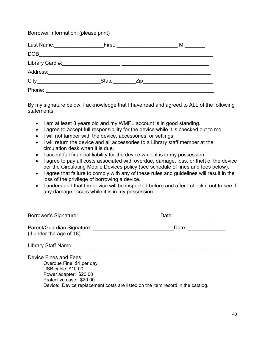Borrower Information: (please print)

| Last Name: <u>Name: Name</u>                                                                                  |              | First: ______________________ | MI |  |
|---------------------------------------------------------------------------------------------------------------|--------------|-------------------------------|----|--|
| <b>DOB</b>                                                                                                    |              |                               |    |  |
| Library Card #: New York 2014 19:00 19:00 19:00 19:00 19:00 19:00 19:00 19:00 19:00 19:00 19:00 19:00 19:00 1 |              |                               |    |  |
| Address:                                                                                                      |              |                               |    |  |
| City                                                                                                          | <b>State</b> | <b>Zip</b>                    |    |  |
| Phone:                                                                                                        |              |                               |    |  |

By my signature below, I acknowledge that I have read and agreed to ALL of the following statements:

- I am at least 8 years old and my WMPL account is in good standing.
- I agree to accept full responsibility for the device while it is checked out to me.
- I will not tamper with the device, accessories, or settings.
- I will return the device and all accessories to a Library staff member at the circulation desk when it is due.
- I accept full financial liability for the device while it is in my possession.
- I agree to pay all costs associated with overdue**,** damage, loss, or theft of the device per the Circulating Mobile Devices policy (see schedule of fines and fees below).
- I agree that failure to comply with any of these rules and guidelines will result in the loss of the privilege of borrowing a device.
- I understand that the device will be inspected before and after I check it out to see if any damage occurs while it is in my possession.

| Borrower's Signature:                                                                                                                                                                                             | Date: |
|-------------------------------------------------------------------------------------------------------------------------------------------------------------------------------------------------------------------|-------|
| Parent/Guardian Signature:<br>(if under the age of 18)                                                                                                                                                            | Date: |
| Library Staff Name:                                                                                                                                                                                               |       |
| Device Fines and Fees:<br>Overdue Fine: \$1 per day<br>USB cable: \$10.00<br>Power adapter: \$20.00<br>Protective case: \$20.00<br>Device: Device replacement costs are listed on the item record in the catalog. |       |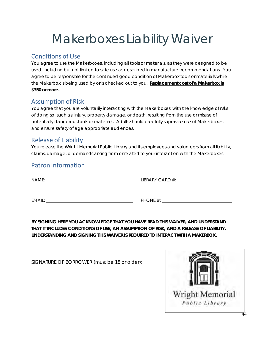## Makerboxes Liability Waiver

#### Conditions of Use

You agree to use the Makerboxes, including all tools or materials, as they were designed to be used, including but not limited to safe use as described in manufacturer recommendations. You agree to be responsible for the continued good condition of Makerbox tools or materials while the Makerbox is being used by or is checked out to you. **Replacement cost of a Makerbox is \$350 or more.**

#### Assumption of Risk

You agree that you are voluntarily interacting with the Makerboxes, with the knowledge of risks of doing so, such as: injury, property damage, or death, resulting from the use or misuse of potentially dangerous tools or materials. Adults should carefully supervise use of Makerboxes and ensure safety of age appropriate audiences.

#### Release of Liability

You release the Wright Memorial Public Library and its employees and volunteers from all liability, claims, damage, or demands arising from or related to your interaction with the Makerboxes

#### Patron Information

| NAME:  | LIBRARY CARD $#$ : |
|--------|--------------------|
|        |                    |
| EMAIL: | PHONE $#$ :        |

**BY SIGNING HERE YOU ACKNOWLEDGE THAT YOU HAVE READ THIS WAIVER, AND UNDERSTAND THAT IT INCLUDES CONDITIONS OF USE, AN ASSUMPTION OF RISK, AND A RELEASE OF LIABILITY. UNDERSTANDING AND SIGNING THIS WAIVER IS REQUIRED TO INTERACT WITH A MAKERBOX.**

SIGNATURE OF BORROWER (must be 18 or older):

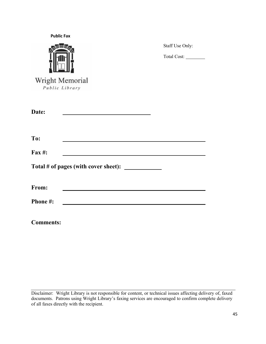| <b>Public Fax</b><br>Public Library<br>Total # of pages (with cover sheet): ___________<br><u> 1989 - Johann John Stone, mensk politik (f. 1989)</u> |                                |
|------------------------------------------------------------------------------------------------------------------------------------------------------|--------------------------------|
| Wright Memorial                                                                                                                                      | Staff Use Only:<br>Total Cost: |
| Date:                                                                                                                                                |                                |
| To:                                                                                                                                                  |                                |
| <b>Fax #:</b>                                                                                                                                        |                                |
|                                                                                                                                                      |                                |
| From:                                                                                                                                                |                                |
| Phone #:                                                                                                                                             |                                |
| <b>Comments:</b>                                                                                                                                     |                                |

Disclaimer: Wright Library is not responsible for content, or technical issues affecting delivery of, faxed documents. Patrons using Wright Library's faxing services are encouraged to confirm complete delivery of all faxes directly with the recipient.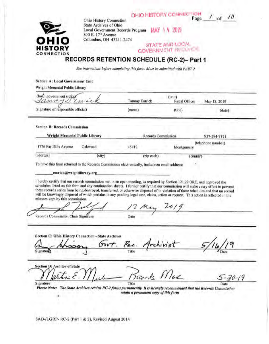**OHIO HISTORY CONNECTION** Ohio History Connection State Archives of Ohio Local Government Records Program MAY 14 2019 800 E, 17<sup>th</sup> Avenue Columbus, OH 43211-2474 STATE AND LOCAL

**HISTORY** 

CONNECTION

#### **GOVERNMENT RISCHION** RECORDS RETENTION SCHEDULE (RC-2)- Part 1

 $\frac{1}{\text{of}}$  /0

Page

See instructions before completing this form. Must be submitted with PART 2

|                                       | Count                                               | <b>Tammy Emrick</b> | (uuit)<br>Fiscal Officer | May 13, 2019       |
|---------------------------------------|-----------------------------------------------------|---------------------|--------------------------|--------------------|
| (signature of responsible official)   |                                                     | (name)              | (iite)                   | (date)             |
| <b>Section B: Records Commission</b>  |                                                     |                     |                          |                    |
| <b>Wright Memorial Public Library</b> |                                                     | Records Commission  |                          | 937-294-7171       |
| 1776 Far Hills Avenue                 | Onkwood                                             | 45419               | Montgomery               | (telephone number) |
| (address)                             | (city)                                              | (zip code)          | (county)                 |                    |
| Records Commission Chair Signature    |                                                     | 13 May 2019<br>Date |                          |                    |
|                                       | Section C: Ohio History Connection - State Archives | Sort. Rec.          |                          |                    |
| Signature)                            |                                                     |                     |                          |                    |

SAO-/LGRP-RC-2 (Part 1 & 2), Revised August 2014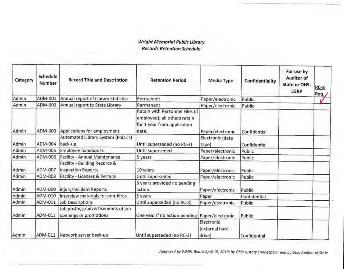| Category     | Schedule<br>Number | <b>Record Title and Description</b>                          | <b>Retention Period</b>                                                                                 | <b>Media Type</b>                      | Confidentiality | For use by<br>Auditor of<br><b>State or OHS-</b><br>LGRP | $RC-3$<br>Req. |
|--------------|--------------------|--------------------------------------------------------------|---------------------------------------------------------------------------------------------------------|----------------------------------------|-----------------|----------------------------------------------------------|----------------|
| Admin        | ADM-001            | Annual report of Library Statistics                          | Permanent                                                                                               | Paper/electronic                       | Public.         |                                                          |                |
| Admin        | ADM-002            | Annual report to State Library                               | Permanent                                                                                               | Paper/electronic                       | Public:         |                                                          |                |
| Admin        | ADM-003            | Applications for employment                                  | Retain with Personnel Files (if<br>employed); all others retain<br>for 1 year from application<br>date. | Paper/electronic                       | Confidential    |                                                          |                |
| Admin        | ADM-004            | Automated Library System (Polaris)<br>back-up                | Until superseded (no RC-3)                                                                              | Electronic (data<br>tape)              | Confidential    |                                                          |                |
| <b>Admin</b> | ADM-005            | Employee handbooks                                           | Until superseded                                                                                        | Paper/electronic                       | Public          |                                                          |                |
| Admin        | ADM-006            | <b>Facility - Annual Maintenance</b>                         | 5 years                                                                                                 | Paper/electronic                       | Public          |                                                          |                |
| Admin        | ADM-007            | Facility - Building Records &<br><b>Inspection Reports</b>   | 10 years                                                                                                | Paper/electronic                       | Public          |                                                          |                |
| Admin        | ADM-008            | Facility - Licenses & Permits                                | Until superseded                                                                                        | Paper/electronic                       | Public          |                                                          |                |
| Admin        | ADM-009            | Injury/Incident Reports                                      | 5 years provided no pending<br>action.                                                                  | Paper/electronic                       | Public          |                                                          |                |
| Admin        | ADM-010            | Interview materials for non-hires                            | 5 years                                                                                                 | Paper                                  | Confidential    |                                                          |                |
| Admin        | ADM-011            | Job Descriptions                                             | Until superseded (no RC-3)                                                                              | Paper/electronic                       | Public          |                                                          |                |
| Admin        | ADM-012            | Job postings/advertisements of job<br>openings or promotions | One year if no action pending Paper/electronic                                                          |                                        | Public          |                                                          |                |
| Admin        |                    | ADM-013 Network server back-up                               | Until superseded (no RC-3)                                                                              | Electronic<br>(external hard<br>drive) | Confidential    |                                                          |                |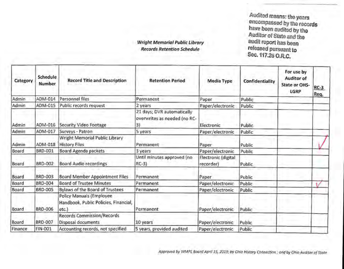Audited means: the years<br>encompassed by the records<br>have been audited by the Auditor of State and the audit report has been released pursuant to Sec. 117.26 O.R.C.

#### **Wright Memorial Public Library Records Retention Schedule**

| Category | <b>Schedule</b><br><b>Number</b> | <b>Record Title and Description</b>                                        | <b>Retention Period</b>                                          | <b>Media Type</b>                | Confidentiality | For use by<br><b>Auditor of</b><br>State or OHS-<br>LGRP | $RC-3$<br>Req. |
|----------|----------------------------------|----------------------------------------------------------------------------|------------------------------------------------------------------|----------------------------------|-----------------|----------------------------------------------------------|----------------|
| Admin    | ADM-014                          | Personnel files                                                            | Permanent                                                        | Paper                            | Public          |                                                          |                |
| Admin    | ADM-015                          | Public records request                                                     | 2 years                                                          | Paper/electronic                 | Public          |                                                          |                |
| Admin    | ADM-016                          | <b>Security Video Footage</b>                                              | 21 days; DVR automatically<br>overwrites as needed (no RC-<br>3) | Electronic                       | Public          |                                                          |                |
| Admin    | ADM-017                          | Surveys - Patron                                                           | 5 years                                                          | Paper/electronic                 | Public          |                                                          |                |
| Admin    | ADM-018                          | Wright Memorial Public Library<br><b>History Files</b>                     | Permanent                                                        | Paper                            | Public          |                                                          |                |
| Board    | BRD-001                          | Board Agenda packets                                                       | 3 years                                                          | Paper/electronic                 | Public          |                                                          |                |
| Board    | BRD-002                          | Board Audio recordings                                                     | Until minutes approved (no<br>$RC-3)$                            | Electronic (digital<br>recorder) | Public          |                                                          |                |
| Board    | <b>BRD-003</b>                   | <b>Board Member Appointment Files</b>                                      | Permanent                                                        | Paper                            | Public          |                                                          |                |
| Board    | <b>BRD-004</b>                   | <b>Board of Trustee Minutes</b>                                            | Permanent                                                        | Paper/electronic                 | Public          |                                                          |                |
| Board    | <b>BRD-005</b>                   | <b>Bylaws of the Board of Trustees</b>                                     | Permanent                                                        | Paper/electronic                 | Public          |                                                          |                |
| Board    | <b>BRD-006</b>                   | Policy Manuals (Employee<br>Handbook, Public Policies, Financial,<br>etc.) | Permanent                                                        | Paper/electronic                 | Public          |                                                          |                |
| Board    | <b>BRD-007</b>                   | <b>Records Commission/Records</b><br>Disposal documents                    | 10 years                                                         | Paper/electronic                 | Public          |                                                          |                |
| Finance  | FIN-001                          | Accounting records, not specified                                          | 5 years, provided audited                                        | Paper/electronic                 | Public          |                                                          |                |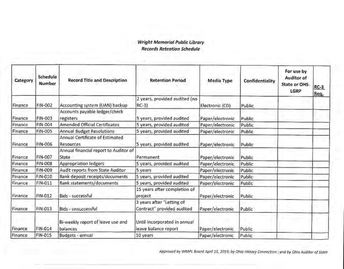o p

| Category | Schedule<br>Number | <b>Record Title and Description</b>            | <b>Retention Period</b>                                 | <b>Media Type</b> | Confidentiality | For use by<br>Auditor of<br>State or OHS-<br>LGRP | $RC-3$<br>Req. |
|----------|--------------------|------------------------------------------------|---------------------------------------------------------|-------------------|-----------------|---------------------------------------------------|----------------|
| Finance  | <b>FIN-002</b>     | Accounting system (UAN) backup                 | 2 years, provided audited (no<br>$RC-3)$                | Electronic (CD)   | Public          |                                                   |                |
| Finance  | <b>FIN-003</b>     | Accounts payable ledger/check<br>registers     | 5 years, provided audited                               | Paper/electronic  | Public          |                                                   |                |
| Finance  | FIN-004            | <b>Amended Official Certificates</b>           | 5 years, provided audited                               | Paper/electronic  | Public          |                                                   |                |
| Finance  | <b>FIN-005</b>     | <b>Annual Budget Resolutions</b>               | 5 years, provided audited                               | Paper/electronic  | Public          |                                                   |                |
| Finance  | <b>FIN-006</b>     | Annual Certificate of Estimated<br>Resources   | 5 years, provided audited                               | Paper/electronic  | Public          |                                                   |                |
| Finance  | FIN-007            | Annual financial report to Auditor of<br>State | Permanent                                               | Paper/electronic  | Public          |                                                   |                |
| Finance  | FIN-008            | Appropriation ledgers                          | 5 years, provided audited                               | Paper/electronic  | Public          |                                                   |                |
| Finance  | FIN-009            | Audit reports from State Auditor               | 5 years                                                 | Paper/electronic  | Public          |                                                   |                |
| Finance  | FIN-010            | Bank deposit receipts/documents                | 5 years, provided audited                               | Paper/electronic  | Public          |                                                   |                |
| Finance  | FIN-011            | Bank statements/documents                      | 5 years, provided audited                               | Paper/electronic  | Public          |                                                   |                |
| Finance  | FIN-012            | Bids - successful                              | 15 years after completion of<br>project                 | Paper/electronic  | Public          |                                                   |                |
| Finance  | FIN-013            | Bids - unsuccessful                            | 3 years after "Letting of<br>Contract" provided audited | Paper/electronic  | Public          |                                                   |                |
| Finance  | <b>FIN-014</b>     | Bi-weekly report of leave use and<br>balances  | Until incorporated in annual<br>leave balance report    | Paper/electronic  | Public          |                                                   |                |
| Finance  | FIN-015            | Budgets - annual                               | 10 years                                                | Paper/electronic  | Public          |                                                   |                |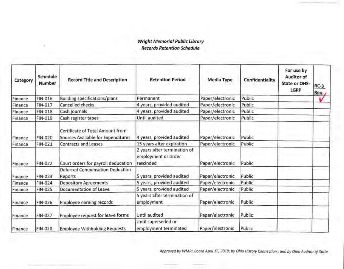| Category | Schedule<br>Number | <b>Record Title and Description</b>                                    | <b>Retention Period</b>                                          | Media Type       | Confidentiality | For use by<br>Auditor of<br>State or OHS-<br>LGRP | $RC-3$<br>Req. |
|----------|--------------------|------------------------------------------------------------------------|------------------------------------------------------------------|------------------|-----------------|---------------------------------------------------|----------------|
| Finance  | FIN-016            | <b>Building specifications/plans</b>                                   | Permanent                                                        | Paper/electronic | Public          |                                                   |                |
| Finance  | FIN-017            | Cancelled checks                                                       | 4 years, provided audited                                        | Paper/electronic | Public          |                                                   |                |
| Finance  | FIN-018            | Cash journals                                                          | 4 years, provided audited                                        | Paper/electronic | Public          |                                                   |                |
| Finance  | FIN-019            | Cash register tapes                                                    | Until audited                                                    | Paper/electronic | Public          |                                                   |                |
| Finance  | FIN-020            | Certificate of Total Amount from<br>Sources Available for Expenditures | 4 years, provided audited                                        | Paper/electronic | Public          |                                                   |                |
| Finance  | FIN-021            | Contracts and Leases                                                   | 15 years after expiration                                        | Paper/electronic | Public          |                                                   |                |
| Finance  | FIN-022            | Court orders for payroll deducation                                    | 2 years after termination of<br>employment or order<br>rescinded | Paper/electronic | Public          |                                                   |                |
| Finance  | FIN-023            | Deferred Compensation Deduction<br>Reports                             | 5 years, provided audited                                        | Paper/electronic | Public          |                                                   |                |
| Finance  | FIN-024            | <b>Depository Agreements</b>                                           | 5 years, provided audited                                        | Paper/electronic | Public          |                                                   |                |
| Finance  | FIN-025            | Documentation of Leave                                                 | 5 years, provided audited                                        | Paper/electronic | <b>Public</b>   |                                                   |                |
| Finance  | FIN-026            | Employee earning records                                               | 5 years after termination of<br>employment                       | Paper/electronic | Public          |                                                   |                |
| Finance  | <b>FIN-027</b>     | Employee request for leave forms                                       | Until audited                                                    | Paper/electronic | <b>Public</b>   |                                                   |                |
| Finance  | <b>FIN-028</b>     | <b>Employee Withholding Requests</b>                                   | Until superseded or<br>employment terminated                     | Paper/electronic | Public          |                                                   |                |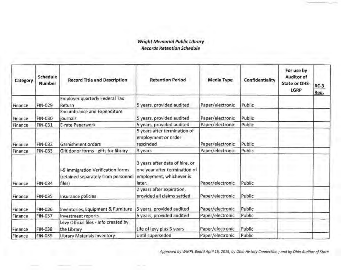| Category | Schedule<br>Number | <b>Record Title and Description</b>                                                 | <b>Retention Period</b>                                                                               | <b>Media Type</b> | Confidentiality | For use by<br>Auditor of<br>State or OHS-<br>LGRP | $RC-3$<br>Req. |
|----------|--------------------|-------------------------------------------------------------------------------------|-------------------------------------------------------------------------------------------------------|-------------------|-----------------|---------------------------------------------------|----------------|
| Finance  | FIN-029            | Employer quarterly Federal Tax<br>Return                                            | 5 years, provided audited                                                                             | Paper/electronic  | Public          |                                                   |                |
| Finance  | FIN-030            | <b>Encumbrance and Expenditure</b><br>journals                                      | 5 years, provided audited                                                                             | Paper/electronic  | Public          |                                                   |                |
| Finance  | FIN-031            | E-rate Paperwork                                                                    | 5 years, provided audited                                                                             | Paper/electronic  | Public          |                                                   |                |
| Finance  | FIN-032            | Garnishment orders                                                                  | 5 years after termination of<br>employment or order<br>rescinded                                      | Paper/electronic  | Public          |                                                   |                |
| Finance  | <b>FIN-033</b>     | Gift donor forms - gifts for library                                                | 3 years                                                                                               | Paper/electronic  | Public          |                                                   |                |
| Finance  | FIN-034            | I-9 Immigration Verification forms<br>(retained separately from personnel<br>files) | 3 years after date of hire, or<br>one year after termination of<br>employment, whichever is<br>later. | Paper/electronic  | Public          |                                                   |                |
| Finance  | <b>FIN-035</b>     | Insurance policies                                                                  | 2 years after expiration,<br>provided all claims settled                                              | Paper/electronic  | Public          |                                                   |                |
| Finance  | FIN-036            | Inventories, Equipment & Furniture                                                  | 5 years, provided audited                                                                             | Paper/electronic  | Public          |                                                   |                |
| Finance  | FIN-037            | Investment reports                                                                  | 5 years, provided audited                                                                             | Paper/electronic  | Public          |                                                   |                |
| Finance  | <b>FIN-038</b>     | Levy Official files - Info created by<br>the Library                                | Life of levy plus 5 years                                                                             | Paper/electronic  | Public          |                                                   |                |
| Finance  | <b>FIN-039</b>     | Library Materials Inventory                                                         | Until superseded                                                                                      | Paper/electronic  | Public          |                                                   |                |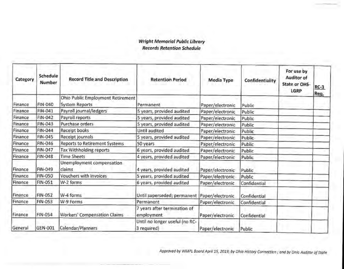| Category | Schedule<br>Number | <b>Record Title and Description</b>                        | <b>Retention Period</b>                       | <b>Media Type</b> | Confidentiality | For use by<br>Auditor of<br>State or OHS-<br>LGRP | $RC-3$<br>Req. |
|----------|--------------------|------------------------------------------------------------|-----------------------------------------------|-------------------|-----------------|---------------------------------------------------|----------------|
| Finance  | FIN-040            | Ohio Public Employment Retirement<br><b>System Reports</b> | Permanent                                     | Paper/electronic  | Public          |                                                   |                |
| Finance  | FIN-041            | Payroll journal/ledgers                                    | 5 years, provided audited                     | Paper/electronic  | Public          |                                                   |                |
| Finance  | <b>FIN-042</b>     | Payroll reports                                            | 5 years, provided audited                     | Paper/electronic  | Public          |                                                   |                |
| Finance  | FIN-043            | Purchase orders                                            | 5 years, provided audited                     | Paper/electronic  | Public          |                                                   |                |
| Finance  | FIN-044            | Receipt books                                              | Until audited                                 | Paper/electronic  | Public          |                                                   |                |
| Finance  | <b>FIN-045</b>     | Receipt journals                                           | 5 years, provided audited                     | Paper/electronic  | Public          |                                                   |                |
| Finance  | FIN-046            | <b>Reports to Retirement Systems</b>                       | 50 years                                      | Paper/electronic  | Public          |                                                   |                |
| Finance  | FIN-047            | <b>Tax Withholding reports</b>                             | 6 years, provided audited                     | Paper/electronic  | Public          |                                                   |                |
| Finance  | <b>FIN-048</b>     | <b>Time Sheets</b>                                         | 4 years, provided audited                     | Paper/electronic  | Public          |                                                   |                |
| Finance  | FIN-049            | Unemployment compensation<br>claims                        | 4 years, provided audited                     | Paper/electronic  | Public          |                                                   |                |
| Finance  | <b>FIN-050</b>     | Vouchers with invoices                                     | 5 years, provided audited                     | Paper/electronic  | Public          |                                                   |                |
| Finance  | <b>FIN-051</b>     | W-2 forms                                                  | 6 years, provided audited                     | Paper/electronic  | Confidential    |                                                   |                |
| Finance  | <b>FIN-052</b>     | W-4 forms                                                  | Until superseded; permanent                   | Paper/electronic  | Confidential    |                                                   |                |
| Finance  | <b>FIN-053</b>     | W-9 Forms                                                  | Permanent                                     | Paper/electronic  | Confidential    |                                                   |                |
| Finance  | <b>FIN-054</b>     | <b>Workers' Compensation Claims</b>                        | 7 years after termination of<br>employment    | Paper/electronic  | Confidential    |                                                   |                |
| General  | GEN-001            | Calendar/Planners                                          | Until no longer useful (no RC-<br>3 required) | Paper/electronic  | Public          |                                                   |                |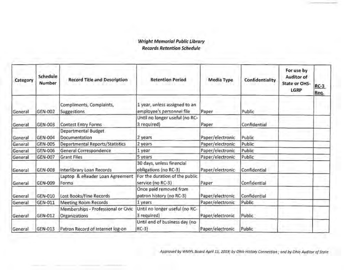| Category | Schedule<br>Number | <b>Record Title and Description</b>                  | <b>Retention Period</b>                                    | Media Type       | Confidentiality | For use by<br>Auditor of<br>State or OHS-<br>LGRP | $RC-3$<br>Req. |
|----------|--------------------|------------------------------------------------------|------------------------------------------------------------|------------------|-----------------|---------------------------------------------------|----------------|
| General  | <b>GEN-002</b>     | Compliments, Complaints,<br><b>Suggestions</b>       | 1 year, unless assigned to an<br>employee's personnel file | Paper            | Public          |                                                   |                |
| General  | <b>GEN-003</b>     | <b>Contest Entry Forms</b>                           | Until no longer useful (no RC-<br>3 required)              | Paper            | Confidential    |                                                   |                |
| General  | <b>GEN-004</b>     | Departmental Budget<br>Documentation                 | 2 years                                                    | Paper/electronic | Public          |                                                   |                |
| General  | GEN-005            | Departmental Reports/Statistics                      | 2 years                                                    | Paper/electronic | <b>Public</b>   |                                                   |                |
| General  | <b>GEN-006</b>     | General Correspondence                               | 1 year                                                     | Paper/electronic | Public          |                                                   |                |
| General  | <b>GEN-007</b>     | <b>Grant Files</b>                                   | 5 years                                                    | Paper/electronic | Public          |                                                   |                |
| General  | <b>GEN-008</b>     | Interlibrary Loan Records                            | 30 days, unless financial<br>obligations (no RC-3)         | Paper/electronic | Confidential    |                                                   |                |
| General  | <b>GEN-009</b>     | Laptop & eReader Loan Agreement<br>Forms             | For the duration of the public.<br>service (no RC-3)       | Paper            | Confidential    |                                                   |                |
| General  | <b>GEN-010</b>     | Lost Books/Fine Records                              | Once paid removed from<br>patron history (no RC-3)         | Paper/electronic | Confidential    |                                                   |                |
| General  | <b>GEN-011</b>     | <b>Meeting Room Records</b>                          | 1 years                                                    | Paper/electronic | Public          |                                                   |                |
| General  | <b>GEN-012</b>     | Memberships - Professional or Civic<br>Organizations | Until no longer useful (no RC-<br>3 required)              | Paper/electronic | Public          |                                                   |                |
| General  | GEN-013            | Patron Record of Internet log-on                     | Until end of business day (no-<br>$RC-3)$                  | Paper/electronic | Public          |                                                   |                |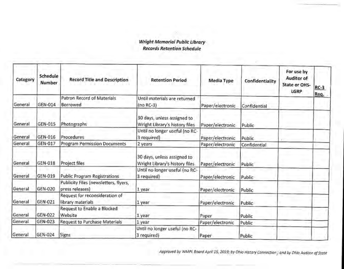| Category           | Schedule<br><b>Number</b> | <b>Record Title and Description</b>                      | <b>Retention Period</b>                                                                                        | <b>Media Type</b>                    | Confidentiality        | For use by<br><b>Auditor of</b><br>State or OHS-<br>LGRP | $RC-3$<br>Req. |
|--------------------|---------------------------|----------------------------------------------------------|----------------------------------------------------------------------------------------------------------------|--------------------------------------|------------------------|----------------------------------------------------------|----------------|
| General            | GEN-014                   | Patron Record of Materials<br>Borrowed                   | Until materials are returned<br>$(no RC-3)$                                                                    | Paper/electronic                     | Confidential           |                                                          |                |
| General<br>General | GEN-015<br>GEN-016        | Photographs<br><b>Procedures</b>                         | 30 days, unless assigned to<br>Wright Library's history files<br>Until no longer useful (no RC-<br>3 required) | Paper/electronic                     | Public                 |                                                          |                |
| General            | GEN-017                   | <b>Program Permission Documents</b>                      | 2 years                                                                                                        | Paper/electronic<br>Paper/electronic | Public<br>Confidential |                                                          |                |
| General            | <b>GEN-018</b>            | Project files                                            | 30 days, unless assigned to<br>Wright Library's history files<br>Until no longer useful (no RC-                | Paper/electronic                     | Public                 |                                                          |                |
| General            | GEN-019                   | <b>Public Program Registrations</b>                      | 3 required)                                                                                                    | Paper/electronic                     | Public                 |                                                          |                |
| General            | <b>GEN-020</b>            | Publicity Files (newsletters, flyers,<br>press releases) | 1 year                                                                                                         | Paper/electronic                     | Public                 |                                                          |                |
| General            | GEN-021                   | Request for reconsideration of<br>library materials      | 1 year                                                                                                         | Paper/electronic                     | Public                 |                                                          |                |
| General            | <b>GEN-022</b>            | Request to Enable a Blocked<br>Website                   | 1 year                                                                                                         | Paper                                | Public                 |                                                          |                |
| General            | <b>GEN-023</b>            | <b>Request to Purchase Materials</b>                     | 1 year                                                                                                         | Paper/electronic                     | Public                 |                                                          |                |
| General            | <b>GEN-024</b>            | Signs                                                    | Until no longer useful (no RC-<br>3 required)                                                                  | Paper                                | Public                 |                                                          |                |